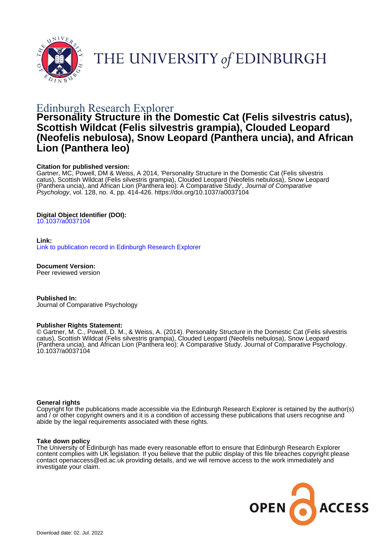

THE UNIVERSITY of EDINBURGH

# Edinburgh Research Explorer

# **Personality Structure in the Domestic Cat (Felis silvestris catus), Scottish Wildcat (Felis silvestris grampia), Clouded Leopard (Neofelis nebulosa), Snow Leopard (Panthera uncia), and African Lion (Panthera leo)**

## **Citation for published version:**

Gartner, MC, Powell, DM & Weiss, A 2014, 'Personality Structure in the Domestic Cat (Felis silvestris catus), Scottish Wildcat (Felis silvestris grampia), Clouded Leopard (Neofelis nebulosa), Snow Leopard (Panthera uncia), and African Lion (Panthera leo): A Comparative Study', Journal of Comparative Psychology, vol. 128, no. 4, pp. 414-426. <https://doi.org/10.1037/a0037104>

## **Digital Object Identifier (DOI):**

[10.1037/a0037104](https://doi.org/10.1037/a0037104)

## **Link:**

[Link to publication record in Edinburgh Research Explorer](https://www.research.ed.ac.uk/en/publications/fd973849-7ae1-48a8-833c-d4da8a7c9de3)

**Document Version:** Peer reviewed version

**Published In:** Journal of Comparative Psychology

#### **Publisher Rights Statement:**

© Gartner, M. C., Powell, D. M., & Weiss, A. (2014). Personality Structure in the Domestic Cat (Felis silvestris catus), Scottish Wildcat (Felis silvestris grampia), Clouded Leopard (Neofelis nebulosa), Snow Leopard (Panthera uncia), and African Lion (Panthera leo): A Comparative Study. Journal of Comparative Psychology. 10.1037/a0037104

#### **General rights**

Copyright for the publications made accessible via the Edinburgh Research Explorer is retained by the author(s) and / or other copyright owners and it is a condition of accessing these publications that users recognise and abide by the legal requirements associated with these rights.

#### **Take down policy**

The University of Edinburgh has made every reasonable effort to ensure that Edinburgh Research Explorer content complies with UK legislation. If you believe that the public display of this file breaches copyright please contact openaccess@ed.ac.uk providing details, and we will remove access to the work immediately and investigate your claim.

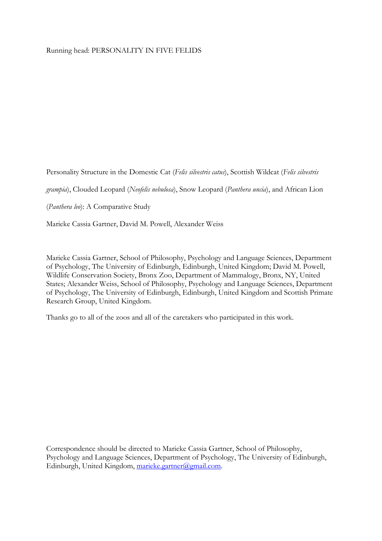## Running head: PERSONALITY IN FIVE FELIDS

Personality Structure in the Domestic Cat (Felis silvestris catus), Scottish Wildcat (Felis silvestris

grampia), Clouded Leopard (Neofelis nebulosa), Snow Leopard (Panthera uncia), and African Lion

(Panthera leo): A Comparative Study

Marieke Cassia Gartner, David M. Powell, Alexander Weiss

Marieke Cassia Gartner, School of Philosophy, Psychology and Language Sciences, Department of Psychology, The University of Edinburgh, Edinburgh, United Kingdom; David M. Powell, Wildlife Conservation Society, Bronx Zoo, Department of Mammalogy, Bronx, NY, United States; Alexander Weiss, School of Philosophy, Psychology and Language Sciences, Department of Psychology, The University of Edinburgh, Edinburgh, United Kingdom and Scottish Primate Research Group, United Kingdom.

Thanks go to all of the zoos and all of the caretakers who participated in this work.

Correspondence should be directed to Marieke Cassia Gartner, School of Philosophy, Psychology and Language Sciences, Department of Psychology, The University of Edinburgh, Edinburgh, United Kingdom, marieke.gartner@gmail.com.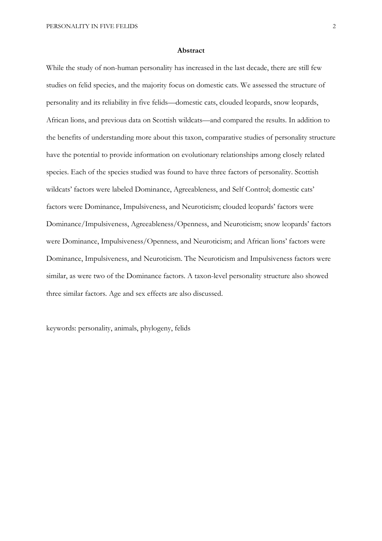#### Abstract

While the study of non-human personality has increased in the last decade, there are still few studies on felid species, and the majority focus on domestic cats. We assessed the structure of personality and its reliability in five felids—domestic cats, clouded leopards, snow leopards, African lions, and previous data on Scottish wildcats—and compared the results. In addition to the benefits of understanding more about this taxon, comparative studies of personality structure have the potential to provide information on evolutionary relationships among closely related species. Each of the species studied was found to have three factors of personality. Scottish wildcats' factors were labeled Dominance, Agreeableness, and Self Control; domestic cats' factors were Dominance, Impulsiveness, and Neuroticism; clouded leopards' factors were Dominance/Impulsiveness, Agreeableness/Openness, and Neuroticism; snow leopards' factors were Dominance, Impulsiveness/Openness, and Neuroticism; and African lions' factors were Dominance, Impulsiveness, and Neuroticism. The Neuroticism and Impulsiveness factors were similar, as were two of the Dominance factors. A taxon-level personality structure also showed three similar factors. Age and sex effects are also discussed.

keywords: personality, animals, phylogeny, felids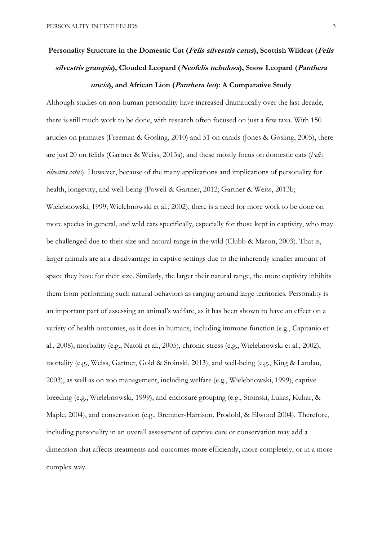# Personality Structure in the Domestic Cat (Felis silvestris catus), Scottish Wildcat (Felis silvestris grampia), Clouded Leopard (Neofelis nebulosa), Snow Leopard (Panthera uncia), and African Lion (Panthera leo): A Comparative Study

Although studies on non-human personality have increased dramatically over the last decade, there is still much work to be done, with research often focused on just a few taxa. With 150 articles on primates (Freeman & Gosling, 2010) and 51 on canids (Jones & Gosling, 2005), there are just 20 on felids (Gartner & Weiss, 2013a), and these mostly focus on domestic cats (Felis silvestris catus). However, because of the many applications and implications of personality for health, longevity, and well-being (Powell & Gartner, 2012; Gartner & Weiss, 2013b; Wielebnowski, 1999; Wielebnowski et al., 2002), there is a need for more work to be done on more species in general, and wild cats specifically, especially for those kept in captivity, who may be challenged due to their size and natural range in the wild (Clubb & Mason, 2003). That is, larger animals are at a disadvantage in captive settings due to the inherently smaller amount of space they have for their size. Similarly, the larger their natural range, the more captivity inhibits them from performing such natural behaviors as ranging around large territories. Personality is an important part of assessing an animal's welfare, as it has been shown to have an effect on a variety of health outcomes, as it does in humans, including immune function (e.g., Capitanio et al., 2008), morbidity (e.g., Natoli et al., 2005), chronic stress (e.g., Wielebnowski et al., 2002), mortality (e.g., Weiss, Gartner, Gold & Stoinski, 2013), and well-being (e.g., King & Landau, 2003), as well as on zoo management, including welfare (e.g., Wielebnowski, 1999), captive breeding (e.g., Wielebnowski, 1999), and enclosure grouping (e.g., Stoinski, Lukas, Kuhar, & Maple, 2004), and conservation (e.g., Bremner-Harrison, Prodohl, & Elwood 2004). Therefore, including personality in an overall assessment of captive care or conservation may add a dimension that affects treatments and outcomes more efficiently, more completely, or in a more complex way.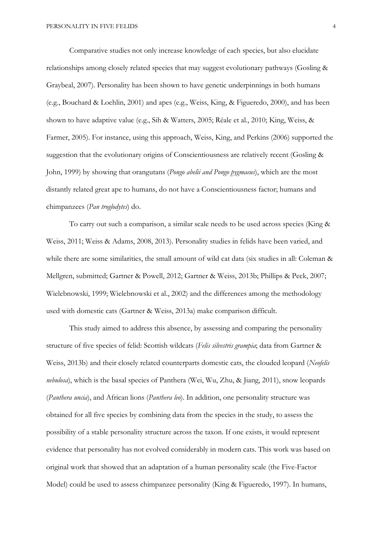Comparative studies not only increase knowledge of each species, but also elucidate relationships among closely related species that may suggest evolutionary pathways (Gosling & Graybeal, 2007). Personality has been shown to have genetic underpinnings in both humans (e.g., Bouchard & Loehlin, 2001) and apes (e.g., Weiss, King, & Figueredo, 2000), and has been shown to have adaptive value (e.g., Sih & Watters, 2005; Réale et al., 2010; King, Weiss, & Farmer, 2005). For instance, using this approach, Weiss, King, and Perkins (2006) supported the suggestion that the evolutionary origins of Conscientiousness are relatively recent (Gosling & John, 1999) by showing that orangutans (Pongo abelii and Pongo pygmaeus), which are the most distantly related great ape to humans, do not have a Conscientiousness factor; humans and chimpanzees (Pan troglodytes) do.

 To carry out such a comparison, a similar scale needs to be used across species (King & Weiss, 2011; Weiss & Adams, 2008, 2013). Personality studies in felids have been varied, and while there are some similarities, the small amount of wild cat data (six studies in all: Coleman & Mellgren, submitted; Gartner & Powell, 2012; Gartner & Weiss, 2013b; Phillips & Peck, 2007; Wielebnowski, 1999; Wielebnowski et al., 2002) and the differences among the methodology used with domestic cats (Gartner & Weiss, 2013a) make comparison difficult.

This study aimed to address this absence, by assessing and comparing the personality structure of five species of felid: Scottish wildcats (Felis silvestris grampia; data from Gartner & Weiss, 2013b) and their closely related counterparts domestic cats, the clouded leopard (Neofelis *nebulosa*), which is the basal species of Panthera (Wei, Wu, Zhu, & Jiang, 2011), snow leopards (Panthera uncia), and African lions (Panthera leo). In addition, one personality structure was obtained for all five species by combining data from the species in the study, to assess the possibility of a stable personality structure across the taxon. If one exists, it would represent evidence that personality has not evolved considerably in modern cats. This work was based on original work that showed that an adaptation of a human personality scale (the Five-Factor Model) could be used to assess chimpanzee personality (King & Figueredo, 1997). In humans,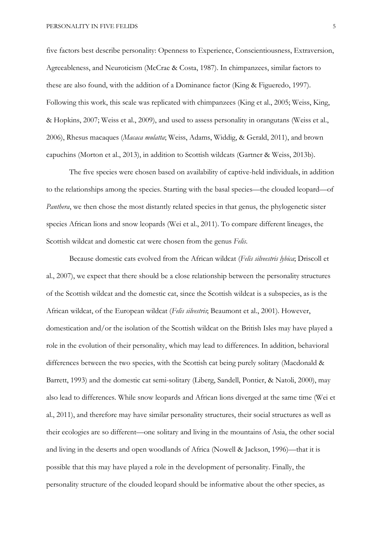five factors best describe personality: Openness to Experience, Conscientiousness, Extraversion, Agreeableness, and Neuroticism (McCrae & Costa, 1987). In chimpanzees, similar factors to these are also found, with the addition of a Dominance factor (King & Figueredo, 1997). Following this work, this scale was replicated with chimpanzees (King et al., 2005; Weiss, King, & Hopkins, 2007; Weiss et al., 2009), and used to assess personality in orangutans (Weiss et al., 2006), Rhesus macaques (Macaca mulatta; Weiss, Adams, Widdig, & Gerald, 2011), and brown capuchins (Morton et al., 2013), in addition to Scottish wildcats (Gartner & Weiss, 2013b).

The five species were chosen based on availability of captive-held individuals, in addition to the relationships among the species. Starting with the basal species—the clouded leopard—of Panthera, we then chose the most distantly related species in that genus, the phylogenetic sister species African lions and snow leopards (Wei et al., 2011). To compare different lineages, the Scottish wildcat and domestic cat were chosen from the genus Felis.

Because domestic cats evolved from the African wildcat (Felis silveestris lybica; Driscoll et al., 2007), we expect that there should be a close relationship between the personality structures of the Scottish wildcat and the domestic cat, since the Scottish wildcat is a subspecies, as is the African wildcat, of the European wildcat (*Felis silvestris*; Beaumont et al., 2001). However, domestication and/or the isolation of the Scottish wildcat on the British Isles may have played a role in the evolution of their personality, which may lead to differences. In addition, behavioral differences between the two species, with the Scottish cat being purely solitary (Macdonald & Barrett, 1993) and the domestic cat semi-solitary (Liberg, Sandell, Pontier, & Natoli, 2000), may also lead to differences. While snow leopards and African lions diverged at the same time (Wei et al., 2011), and therefore may have similar personality structures, their social structures as well as their ecologies are so different—one solitary and living in the mountains of Asia, the other social and living in the deserts and open woodlands of Africa (Nowell & Jackson, 1996)—that it is possible that this may have played a role in the development of personality. Finally, the personality structure of the clouded leopard should be informative about the other species, as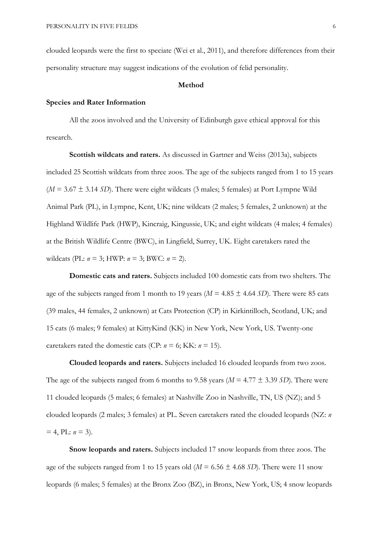clouded leopards were the first to speciate (Wei et al., 2011), and therefore differences from their personality structure may suggest indications of the evolution of felid personality.

#### Method

## Species and Rater Information

 All the zoos involved and the University of Edinburgh gave ethical approval for this research.

Scottish wildcats and raters. As discussed in Gartner and Weiss (2013a), subjects included 25 Scottish wildcats from three zoos. The age of the subjects ranged from 1 to 15 years  $(M = 3.67 \pm 3.14 \text{ SD})$ . There were eight wildcats (3 males; 5 females) at Port Lympne Wild Animal Park (PL), in Lympne, Kent, UK; nine wildcats (2 males; 5 females, 2 unknown) at the Highland Wildlife Park (HWP), Kincraig, Kingussie, UK; and eight wildcats (4 males; 4 females) at the British Wildlife Centre (BWC), in Lingfield, Surrey, UK. Eight caretakers rated the wildcats (PL:  $n = 3$ ; HWP:  $n = 3$ ; BWC:  $n = 2$ ).

Domestic cats and raters. Subjects included 100 domestic cats from two shelters. The age of the subjects ranged from 1 month to 19 years ( $M = 4.85 \pm 4.64$  SD). There were 85 cats (39 males, 44 females, 2 unknown) at Cats Protection (CP) in Kirkintilloch, Scotland, UK; and 15 cats (6 males; 9 females) at KittyKind (KK) in New York, New York, US. Twenty-one caretakers rated the domestic cats (CP:  $n = 6$ ; KK:  $n = 15$ ).

Clouded leopards and raters. Subjects included 16 clouded leopards from two zoos. The age of the subjects ranged from 6 months to 9.58 years ( $M = 4.77 \pm 3.39$  SD). There were 11 clouded leopards (5 males; 6 females) at Nashville Zoo in Nashville, TN, US (NZ); and 5 clouded leopards (2 males; 3 females) at PL. Seven caretakers rated the clouded leopards (NZ: n  $= 4$ , PL:  $n = 3$ ).

Snow leopards and raters. Subjects included 17 snow leopards from three zoos. The age of the subjects ranged from 1 to 15 years old ( $M = 6.56 \pm 4.68$  SD). There were 11 snow leopards (6 males; 5 females) at the Bronx Zoo (BZ), in Bronx, New York, US; 4 snow leopards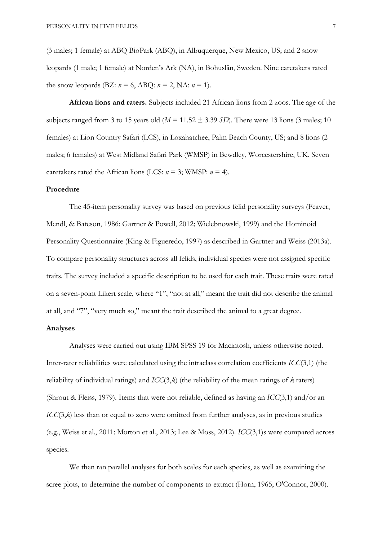(3 males; 1 female) at ABQ BioPark (ABQ), in Albuquerque, New Mexico, US; and 2 snow leopards (1 male; 1 female) at Norden's Ark (NA), in Bohuslän, Sweden. Nine caretakers rated the snow leopards (BZ:  $n = 6$ , ABQ:  $n = 2$ , NA:  $n = 1$ ).

African lions and raters. Subjects included 21 African lions from 2 zoos. The age of the subjects ranged from 3 to 15 years old ( $M = 11.52 \pm 3.39$  SD). There were 13 lions (3 males; 10 females) at Lion Country Safari (LCS), in Loxahatchee, Palm Beach County, US; and 8 lions (2 males; 6 females) at West Midland Safari Park (WMSP) in Bewdley, Worcestershire, UK. Seven caretakers rated the African lions (LCS:  $n = 3$ ; WMSP:  $n = 4$ ).

#### Procedure

 The 45-item personality survey was based on previous felid personality surveys (Feaver, Mendl, & Bateson, 1986; Gartner & Powell, 2012; Wielebnowski, 1999) and the Hominoid Personality Questionnaire (King & Figueredo, 1997) as described in Gartner and Weiss (2013a). To compare personality structures across all felids, individual species were not assigned specific traits. The survey included a specific description to be used for each trait. These traits were rated on a seven-point Likert scale, where "1", "not at all," meant the trait did not describe the animal at all, and "7", "very much so," meant the trait described the animal to a great degree.

## Analyses

 Analyses were carried out using IBM SPSS 19 for Macintosh, unless otherwise noted. Inter-rater reliabilities were calculated using the intraclass correlation coefficients ICC(3,1) (the reliability of individual ratings) and  $ICC(3,k)$  (the reliability of the mean ratings of k raters) (Shrout & Fleiss, 1979). Items that were not reliable, defined as having an ICC(3,1) and/or an ICC(3,k) less than or equal to zero were omitted from further analyses, as in previous studies (e.g., Weiss et al., 2011; Morton et al., 2013; Lee & Moss, 2012). ICC(3,1)s were compared across species.

We then ran parallel analyses for both scales for each species, as well as examining the scree plots, to determine the number of components to extract (Horn, 1965; O'Connor, 2000).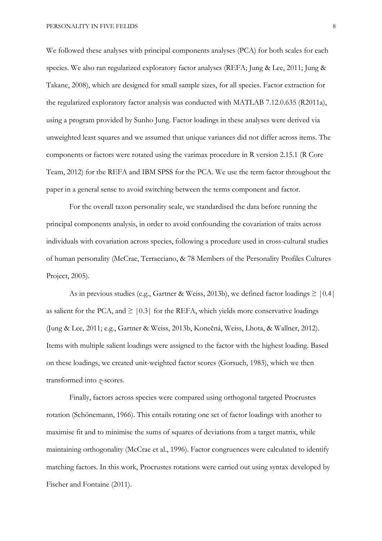We followed these analyses with principal components analyses (PCA) for both scales for each species. We also ran regularized exploratory factor analyses (REFA; Jung & Lee, 2011; Jung & Takane, 2008), which are designed for small sample sizes, for all species. Factor extraction for the regularized exploratory factor analysis was conducted with MATLAB 7.12.0.635 (R2011a), using a program provided by Sunho Jung. Factor loadings in these analyses were derived via unweighted least squares and we assumed that unique variances did not differ across items. The components or factors were rotated using the varimax procedure in R version 2.15.1 (R Core Team, 2012) for the REFA and IBM SPSS for the PCA. We use the term factor throughout the paper in a general sense to avoid switching between the terms component and factor.

For the overall taxon personality scale, we standardised the data before running the principal components analysis, in order to avoid confounding the covariation of traits across individuals with covariation across species, following a procedure used in cross-cultural studies of human personality (McCrae, Terracciano, & 78 Members of the Personality Profiles Cultures Project, 2005).

As in previous studies (e.g., Gartner & Weiss, 2013b), we defined factor loadings  $\geq$  |0.4| as salient for the PCA, and  $\geq$  [0.3] for the REFA, which yields more conservative loadings (Jung & Lee, 2011; e.g., Gartner & Weiss, 2013b, Konečná, Weiss, Lhota, & Wallner, 2012). Items with multiple salient loadings were assigned to the factor with the highest loading. Based on these loadings, we created unit-weighted factor scores (Gorsuch, 1983), which we then transformed into z-scores.

Finally, factors across species were compared using orthogonal targeted Procrustes rotation (Schönemann, 1966). This entails rotating one set of factor loadings with another to maximise fit and to minimise the sums of squares of deviations from a target matrix, while maintaining orthogonality (McCrae et al., 1996). Factor congruences were calculated to identify matching factors. In this work, Procrustes rotations were carried out using syntax developed by Fischer and Fontaine (2011).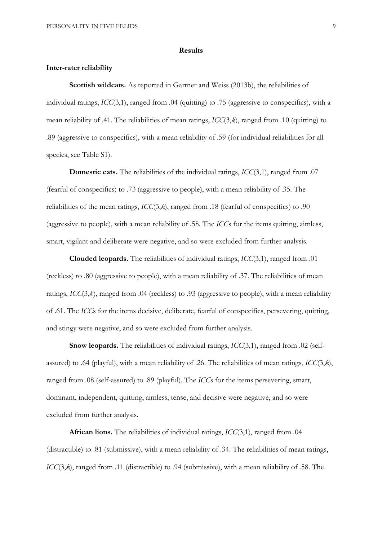#### Results

## Inter-rater reliability

Scottish wildcats. As reported in Gartner and Weiss (2013b), the reliabilities of individual ratings, ICC(3,1), ranged from .04 (quitting) to .75 (aggressive to conspecifics), with a mean reliability of .41. The reliabilities of mean ratings, ICC(3,k), ranged from .10 (quitting) to .89 (aggressive to conspecifics), with a mean reliability of .59 (for individual reliabilities for all species, see Table S1).

Domestic cats. The reliabilities of the individual ratings,  $ICC(3,1)$ , ranged from .07 (fearful of conspecifics) to .73 (aggressive to people), with a mean reliability of .35. The reliabilities of the mean ratings,  $ICC(3,k)$ , ranged from .18 (fearful of conspecifics) to .90 (aggressive to people), with a mean reliability of .58. The ICCs for the items quitting, aimless, smart, vigilant and deliberate were negative, and so were excluded from further analysis.

Clouded leopards. The reliabilities of individual ratings, ICC(3,1), ranged from .01 (reckless) to .80 (aggressive to people), with a mean reliability of .37. The reliabilities of mean ratings,  $ICC(3,k)$ , ranged from .04 (reckless) to .93 (aggressive to people), with a mean reliability of .61. The ICCs for the items decisive, deliberate, fearful of conspecifics, persevering, quitting, and stingy were negative, and so were excluded from further analysis.

Snow leopards. The reliabilities of individual ratings,  $ICC(3,1)$ , ranged from .02 (selfassured) to .64 (playful), with a mean reliability of .26. The reliabilities of mean ratings,  $ICC(3,k)$ , ranged from .08 (self-assured) to .89 (playful). The ICCs for the items persevering, smart, dominant, independent, quitting, aimless, tense, and decisive were negative, and so were excluded from further analysis.

African lions. The reliabilities of individual ratings, ICC(3,1), ranged from .04 (distractible) to .81 (submissive), with a mean reliability of .34. The reliabilities of mean ratings, ICC(3,k), ranged from .11 (distractible) to .94 (submissive), with a mean reliability of .58. The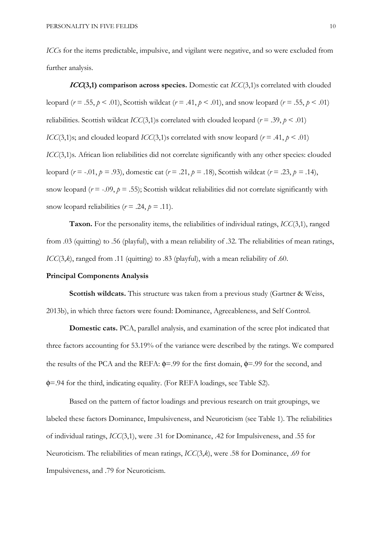ICCs for the items predictable, impulsive, and vigilant were negative, and so were excluded from further analysis.

 $ICC(3,1)$  comparison across species. Domestic cat  $ICC(3,1)$ s correlated with clouded leopard ( $r = .55$ ,  $p < .01$ ), Scottish wildcat ( $r = .41$ ,  $p < .01$ ), and snow leopard ( $r = .55$ ,  $p < .01$ ) reliabilities. Scottish wildcat *ICC*(3,1)s correlated with clouded leopard ( $r = .39$ ,  $p < .01$ ) ICC(3,1)s; and clouded leopard ICC(3,1)s correlated with snow leopard ( $r = .41$ ,  $p < .01$ ) ICC(3,1)s. African lion reliabilities did not correlate significantly with any other species: clouded leopard ( $r = -0.01$ ,  $p = 0.93$ ), domestic cat ( $r = 0.21$ ,  $p = 0.18$ ), Scottish wildcat ( $r = 0.23$ ,  $p = 0.14$ ), snow leopard ( $r = -0.09$ ,  $p = 0.55$ ); Scottish wildcat reliabilities did not correlate significantly with snow leopard reliabilities ( $r = .24$ ,  $p = .11$ ).

Taxon. For the personality items, the reliabilities of individual ratings, ICC(3,1), ranged from .03 (quitting) to .56 (playful), with a mean reliability of .32. The reliabilities of mean ratings,  $ICC(3,k)$ , ranged from .11 (quitting) to .83 (playful), with a mean reliability of .60.

#### Principal Components Analysis

Scottish wildcats. This structure was taken from a previous study (Gartner & Weiss, 2013b), in which three factors were found: Dominance, Agreeableness, and Self Control.

Domestic cats. PCA, parallel analysis, and examination of the scree plot indicated that three factors accounting for 53.19% of the variance were described by the ratings. We compared the results of the PCA and the REFA:  $\phi$ =.99 for the first domain,  $\phi$ =.99 for the second, and φ=.94 for the third, indicating equality. (For REFA loadings, see Table S2).

Based on the pattern of factor loadings and previous research on trait groupings, we labeled these factors Dominance, Impulsiveness, and Neuroticism (see Table 1). The reliabilities of individual ratings, ICC(3,1), were .31 for Dominance, .42 for Impulsiveness, and .55 for Neuroticism. The reliabilities of mean ratings, ICC(3,k), were .58 for Dominance, .69 for Impulsiveness, and .79 for Neuroticism.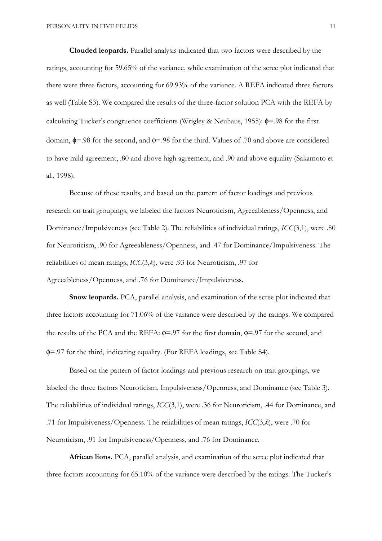Clouded leopards. Parallel analysis indicated that two factors were described by the ratings, accounting for 59.65% of the variance, while examination of the scree plot indicated that there were three factors, accounting for 69.93% of the variance. A REFA indicated three factors as well (Table S3). We compared the results of the three-factor solution PCA with the REFA by calculating Tucker's congruence coefficients (Wrigley & Neuhaus, 1955): φ=.98 for the first domain, φ=.98 for the second, and φ=.98 for the third. Values of .70 and above are considered to have mild agreement, .80 and above high agreement, and .90 and above equality (Sakamoto et al., 1998).

Because of these results, and based on the pattern of factor loadings and previous research on trait groupings, we labeled the factors Neuroticism, Agreeableness/Openness, and Dominance/Impulsiveness (see Table 2). The reliabilities of individual ratings, ICC(3,1), were .80 for Neuroticism, .90 for Agreeableness/Openness, and .47 for Dominance/Impulsiveness. The reliabilities of mean ratings, ICC(3,k), were .93 for Neuroticism, .97 for Agreeableness/Openness, and .76 for Dominance/Impulsiveness.

Snow leopards. PCA, parallel analysis, and examination of the scree plot indicated that three factors accounting for 71.06% of the variance were described by the ratings. We compared the results of the PCA and the REFA:  $\phi$ =.97 for the first domain,  $\phi$ =.97 for the second, and φ=.97 for the third, indicating equality. (For REFA loadings, see Table S4).

Based on the pattern of factor loadings and previous research on trait groupings, we labeled the three factors Neuroticism, Impulsiveness/Openness, and Dominance (see Table 3). The reliabilities of individual ratings, ICC(3,1), were .36 for Neuroticism, .44 for Dominance, and .71 for Impulsiveness/Openness. The reliabilities of mean ratings, ICC(3,k), were .70 for Neuroticism, .91 for Impulsiveness/Openness, and .76 for Dominance.

African lions. PCA, parallel analysis, and examination of the scree plot indicated that three factors accounting for 65.10% of the variance were described by the ratings. The Tucker's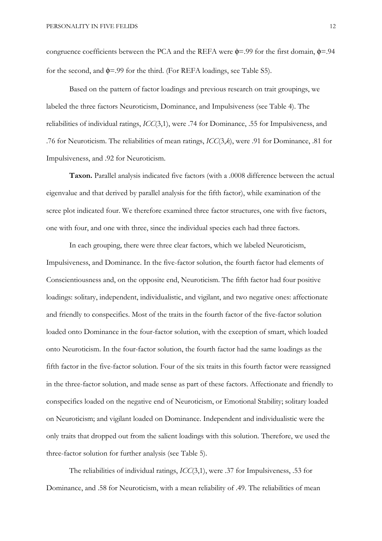congruence coefficients between the PCA and the REFA were  $\phi$ =.99 for the first domain,  $\phi$ =.94 for the second, and  $\phi$ =.99 for the third. (For REFA loadings, see Table S5).

Based on the pattern of factor loadings and previous research on trait groupings, we labeled the three factors Neuroticism, Dominance, and Impulsiveness (see Table 4). The reliabilities of individual ratings, ICC(3,1), were .74 for Dominance, .55 for Impulsiveness, and .76 for Neuroticism. The reliabilities of mean ratings, ICC(3,k), were .91 for Dominance, .81 for Impulsiveness, and .92 for Neuroticism.

Taxon. Parallel analysis indicated five factors (with a .0008 difference between the actual eigenvalue and that derived by parallel analysis for the fifth factor), while examination of the scree plot indicated four. We therefore examined three factor structures, one with five factors, one with four, and one with three, since the individual species each had three factors.

In each grouping, there were three clear factors, which we labeled Neuroticism, Impulsiveness, and Dominance. In the five-factor solution, the fourth factor had elements of Conscientiousness and, on the opposite end, Neuroticism. The fifth factor had four positive loadings: solitary, independent, individualistic, and vigilant, and two negative ones: affectionate and friendly to conspecifics. Most of the traits in the fourth factor of the five-factor solution loaded onto Dominance in the four-factor solution, with the exception of smart, which loaded onto Neuroticism. In the four-factor solution, the fourth factor had the same loadings as the fifth factor in the five-factor solution. Four of the six traits in this fourth factor were reassigned in the three-factor solution, and made sense as part of these factors. Affectionate and friendly to conspecifics loaded on the negative end of Neuroticism, or Emotional Stability; solitary loaded on Neuroticism; and vigilant loaded on Dominance. Independent and individualistic were the only traits that dropped out from the salient loadings with this solution. Therefore, we used the three-factor solution for further analysis (see Table 5).

The reliabilities of individual ratings, ICC(3,1), were .37 for Impulsiveness, .53 for Dominance, and .58 for Neuroticism, with a mean reliability of .49. The reliabilities of mean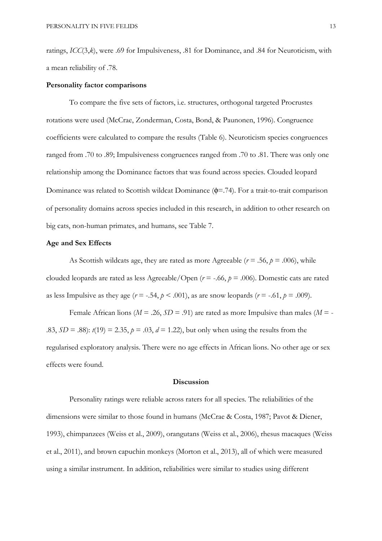ratings, ICC(3,k), were .69 for Impulsiveness, .81 for Dominance, and .84 for Neuroticism, with a mean reliability of .78.

#### Personality factor comparisons

 To compare the five sets of factors, i.e. structures, orthogonal targeted Procrustes rotations were used (McCrae, Zonderman, Costa, Bond, & Paunonen, 1996). Congruence coefficients were calculated to compare the results (Table 6). Neuroticism species congruences ranged from .70 to .89; Impulsiveness congruences ranged from .70 to .81. There was only one relationship among the Dominance factors that was found across species. Clouded leopard Dominance was related to Scottish wildcat Dominance (φ=.74). For a trait-to-trait comparison of personality domains across species included in this research, in addition to other research on big cats, non-human primates, and humans, see Table 7.

## Age and Sex Effects

As Scottish wildcats age, they are rated as more Agreeable ( $r = .56$ ,  $p = .006$ ), while clouded leopards are rated as less Agreeable/Open ( $r = -.66$ ,  $p = .006$ ). Domestic cats are rated as less Impulsive as they age  $(r = -.54, p < .001)$ , as are snow leopards  $(r = -.61, p = .009)$ .

Female African lions ( $M = .26$ ,  $SD = .91$ ) are rated as more Impulsive than males ( $M = -$ .83,  $SD = .88$ :  $t(19) = 2.35$ ,  $p = .03$ ,  $d = 1.22$ ), but only when using the results from the regularised exploratory analysis. There were no age effects in African lions. No other age or sex effects were found.

#### **Discussion**

Personality ratings were reliable across raters for all species. The reliabilities of the dimensions were similar to those found in humans (McCrae & Costa, 1987; Pavot & Diener, 1993), chimpanzees (Weiss et al., 2009), orangutans (Weiss et al., 2006), rhesus macaques (Weiss et al., 2011), and brown capuchin monkeys (Morton et al., 2013), all of which were measured using a similar instrument. In addition, reliabilities were similar to studies using different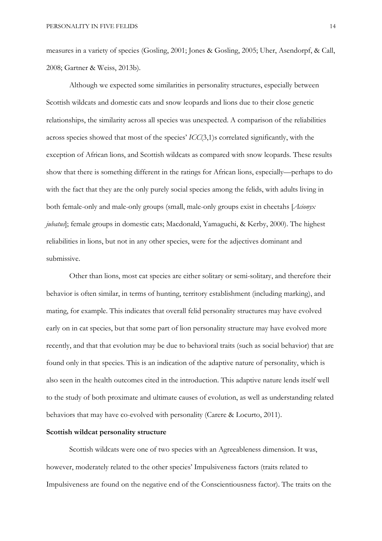measures in a variety of species (Gosling, 2001; Jones & Gosling, 2005; Uher, Asendorpf, & Call, 2008; Gartner & Weiss, 2013b).

 Although we expected some similarities in personality structures, especially between Scottish wildcats and domestic cats and snow leopards and lions due to their close genetic relationships, the similarity across all species was unexpected. A comparison of the reliabilities across species showed that most of the species' ICC(3,1)s correlated significantly, with the exception of African lions, and Scottish wildcats as compared with snow leopards. These results show that there is something different in the ratings for African lions, especially—perhaps to do with the fact that they are the only purely social species among the felids, with adults living in both female-only and male-only groups (small, male-only groups exist in cheetahs [Acionyx] jubatus]; female groups in domestic cats; Macdonald, Yamaguchi, & Kerby, 2000). The highest reliabilities in lions, but not in any other species, were for the adjectives dominant and submissive.

Other than lions, most cat species are either solitary or semi-solitary, and therefore their behavior is often similar, in terms of hunting, territory establishment (including marking), and mating, for example. This indicates that overall felid personality structures may have evolved early on in cat species, but that some part of lion personality structure may have evolved more recently, and that that evolution may be due to behavioral traits (such as social behavior) that are found only in that species. This is an indication of the adaptive nature of personality, which is also seen in the health outcomes cited in the introduction. This adaptive nature lends itself well to the study of both proximate and ultimate causes of evolution, as well as understanding related behaviors that may have co-evolved with personality (Carere & Locurto, 2011).

## Scottish wildcat personality structure

 Scottish wildcats were one of two species with an Agreeableness dimension. It was, however, moderately related to the other species' Impulsiveness factors (traits related to Impulsiveness are found on the negative end of the Conscientiousness factor). The traits on the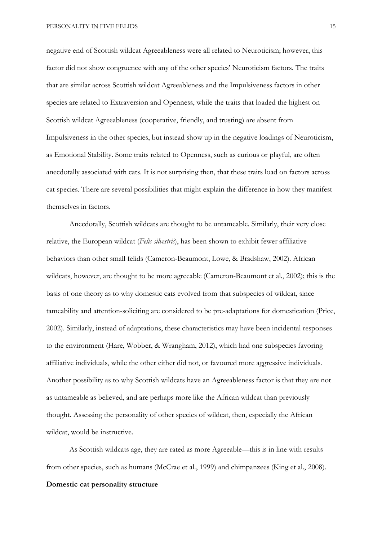PERSONALITY IN FIVE FELIDS 15

negative end of Scottish wildcat Agreeableness were all related to Neuroticism; however, this factor did not show congruence with any of the other species' Neuroticism factors. The traits that are similar across Scottish wildcat Agreeableness and the Impulsiveness factors in other species are related to Extraversion and Openness, while the traits that loaded the highest on Scottish wildcat Agreeableness (cooperative, friendly, and trusting) are absent from Impulsiveness in the other species, but instead show up in the negative loadings of Neuroticism, as Emotional Stability. Some traits related to Openness, such as curious or playful, are often anecdotally associated with cats. It is not surprising then, that these traits load on factors across cat species. There are several possibilities that might explain the difference in how they manifest themselves in factors.

 Anecdotally, Scottish wildcats are thought to be untameable. Similarly, their very close relative, the European wildcat (Felis silvestris), has been shown to exhibit fewer affiliative behaviors than other small felids (Cameron-Beaumont, Lowe, & Bradshaw, 2002). African wildcats, however, are thought to be more agreeable (Cameron-Beaumont et al., 2002); this is the basis of one theory as to why domestic cats evolved from that subspecies of wildcat, since tameability and attention-soliciting are considered to be pre-adaptations for domestication (Price, 2002). Similarly, instead of adaptations, these characteristics may have been incidental responses to the environment (Hare, Wobber, & Wrangham, 2012), which had one subspecies favoring affiliative individuals, while the other either did not, or favoured more aggressive individuals. Another possibility as to why Scottish wildcats have an Agreeableness factor is that they are not as untameable as believed, and are perhaps more like the African wildcat than previously thought. Assessing the personality of other species of wildcat, then, especially the African wildcat, would be instructive.

 As Scottish wildcats age, they are rated as more Agreeable—this is in line with results from other species, such as humans (McCrae et al., 1999) and chimpanzees (King et al., 2008). Domestic cat personality structure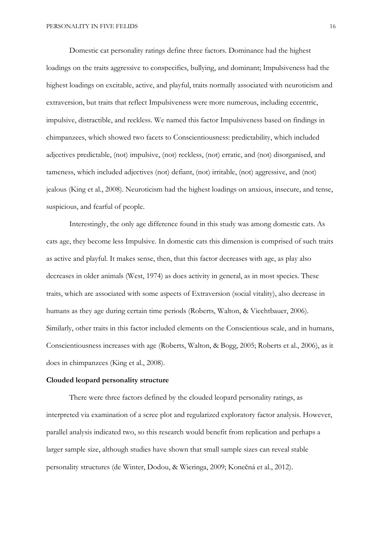Domestic cat personality ratings define three factors. Dominance had the highest loadings on the traits aggressive to conspecifics, bullying, and dominant; Impulsiveness had the highest loadings on excitable, active, and playful, traits normally associated with neuroticism and extraversion, but traits that reflect Impulsiveness were more numerous, including eccentric, impulsive, distractible, and reckless. We named this factor Impulsiveness based on findings in chimpanzees, which showed two facets to Conscientiousness: predictability, which included adjectives predictable, (not) impulsive, (not) reckless, (not) erratic, and (not) disorganised, and tameness, which included adjectives (not) defiant, (not) irritable, (not) aggressive, and (not) jealous (King et al., 2008). Neuroticism had the highest loadings on anxious, insecure, and tense, suspicious, and fearful of people.

Interestingly, the only age difference found in this study was among domestic cats. As cats age, they become less Impulsive. In domestic cats this dimension is comprised of such traits as active and playful. It makes sense, then, that this factor decreases with age, as play also decreases in older animals (West, 1974) as does activity in general, as in most species. These traits, which are associated with some aspects of Extraversion (social vitality), also decrease in humans as they age during certain time periods (Roberts, Walton, & Viechtbauer, 2006). Similarly, other traits in this factor included elements on the Conscientious scale, and in humans, Conscientiousness increases with age (Roberts, Walton, & Bogg, 2005; Roberts et al., 2006), as it does in chimpanzees (King et al., 2008).

#### Clouded leopard personality structure

 There were three factors defined by the clouded leopard personality ratings, as interpreted via examination of a scree plot and regularized exploratory factor analysis. However, parallel analysis indicated two, so this research would benefit from replication and perhaps a larger sample size, although studies have shown that small sample sizes can reveal stable personality structures (de Winter, Dodou, & Wieringa, 2009; Konečná et al., 2012).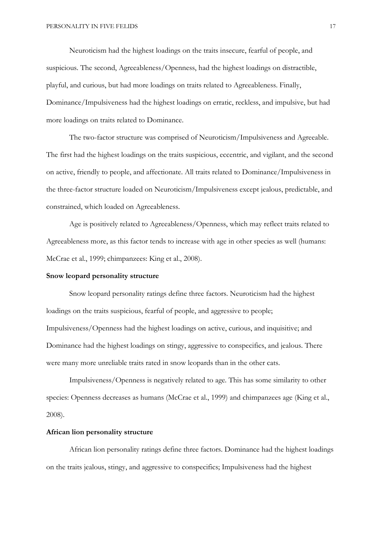Neuroticism had the highest loadings on the traits insecure, fearful of people, and suspicious. The second, Agreeableness/Openness, had the highest loadings on distractible, playful, and curious, but had more loadings on traits related to Agreeableness. Finally, Dominance/Impulsiveness had the highest loadings on erratic, reckless, and impulsive, but had more loadings on traits related to Dominance.

The two-factor structure was comprised of Neuroticism/Impulsiveness and Agreeable. The first had the highest loadings on the traits suspicious, eccentric, and vigilant, and the second on active, friendly to people, and affectionate. All traits related to Dominance/Impulsiveness in the three-factor structure loaded on Neuroticism/Impulsiveness except jealous, predictable, and constrained, which loaded on Agreeableness.

 Age is positively related to Agreeableness/Openness, which may reflect traits related to Agreeableness more, as this factor tends to increase with age in other species as well (humans: McCrae et al., 1999; chimpanzees: King et al., 2008).

#### Snow leopard personality structure

 Snow leopard personality ratings define three factors. Neuroticism had the highest loadings on the traits suspicious, fearful of people, and aggressive to people; Impulsiveness/Openness had the highest loadings on active, curious, and inquisitive; and Dominance had the highest loadings on stingy, aggressive to conspecifics, and jealous. There were many more unreliable traits rated in snow leopards than in the other cats.

Impulsiveness/Openness is negatively related to age. This has some similarity to other species: Openness decreases as humans (McCrae et al., 1999) and chimpanzees age (King et al., 2008).

## African lion personality structure

 African lion personality ratings define three factors. Dominance had the highest loadings on the traits jealous, stingy, and aggressive to conspecifics; Impulsiveness had the highest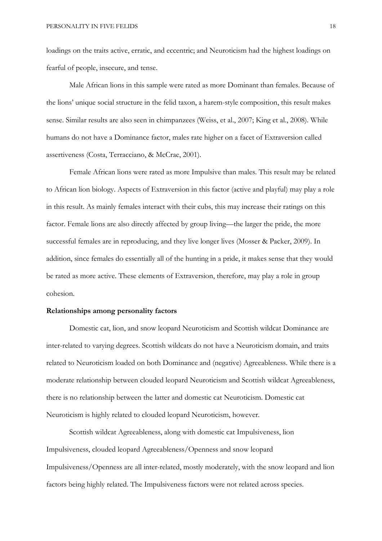loadings on the traits active, erratic, and eccentric; and Neuroticism had the highest loadings on fearful of people, insecure, and tense.

 Male African lions in this sample were rated as more Dominant than females. Because of the lions' unique social structure in the felid taxon, a harem-style composition, this result makes sense. Similar results are also seen in chimpanzees (Weiss, et al., 2007; King et al., 2008). While humans do not have a Dominance factor, males rate higher on a facet of Extraversion called assertiveness (Costa, Terracciano, & McCrae, 2001).

Female African lions were rated as more Impulsive than males. This result may be related to African lion biology. Aspects of Extraversion in this factor (active and playful) may play a role in this result. As mainly females interact with their cubs, this may increase their ratings on this factor. Female lions are also directly affected by group living—the larger the pride, the more successful females are in reproducing, and they live longer lives (Mosser & Packer, 2009). In addition, since females do essentially all of the hunting in a pride, it makes sense that they would be rated as more active. These elements of Extraversion, therefore, may play a role in group cohesion.

## Relationships among personality factors

 Domestic cat, lion, and snow leopard Neuroticism and Scottish wildcat Dominance are inter-related to varying degrees. Scottish wildcats do not have a Neuroticism domain, and traits related to Neuroticism loaded on both Dominance and (negative) Agreeableness. While there is a moderate relationship between clouded leopard Neuroticism and Scottish wildcat Agreeableness, there is no relationship between the latter and domestic cat Neuroticism. Domestic cat Neuroticism is highly related to clouded leopard Neuroticism, however.

Scottish wildcat Agreeableness, along with domestic cat Impulsiveness, lion Impulsiveness, clouded leopard Agreeableness/Openness and snow leopard Impulsiveness/Openness are all inter-related, mostly moderately, with the snow leopard and lion factors being highly related. The Impulsiveness factors were not related across species.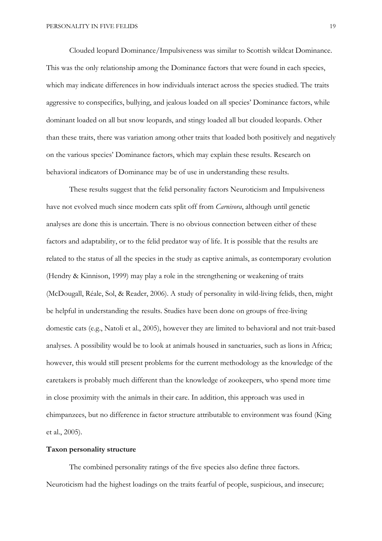Clouded leopard Dominance/Impulsiveness was similar to Scottish wildcat Dominance. This was the only relationship among the Dominance factors that were found in each species, which may indicate differences in how individuals interact across the species studied. The traits aggressive to conspecifics, bullying, and jealous loaded on all species' Dominance factors, while dominant loaded on all but snow leopards, and stingy loaded all but clouded leopards. Other than these traits, there was variation among other traits that loaded both positively and negatively on the various species' Dominance factors, which may explain these results. Research on behavioral indicators of Dominance may be of use in understanding these results.

 These results suggest that the felid personality factors Neuroticism and Impulsiveness have not evolved much since modern cats split off from *Carnivora*, although until genetic analyses are done this is uncertain. There is no obvious connection between either of these factors and adaptability, or to the felid predator way of life. It is possible that the results are related to the status of all the species in the study as captive animals, as contemporary evolution (Hendry & Kinnison, 1999) may play a role in the strengthening or weakening of traits (McDougall, Réale, Sol, & Reader, 2006). A study of personality in wild-living felids, then, might be helpful in understanding the results. Studies have been done on groups of free-living domestic cats (e.g., Natoli et al., 2005), however they are limited to behavioral and not trait-based analyses. A possibility would be to look at animals housed in sanctuaries, such as lions in Africa; however, this would still present problems for the current methodology as the knowledge of the caretakers is probably much different than the knowledge of zookeepers, who spend more time in close proximity with the animals in their care. In addition, this approach was used in chimpanzees, but no difference in factor structure attributable to environment was found (King et al., 2005).

## Taxon personality structure

 The combined personality ratings of the five species also define three factors. Neuroticism had the highest loadings on the traits fearful of people, suspicious, and insecure;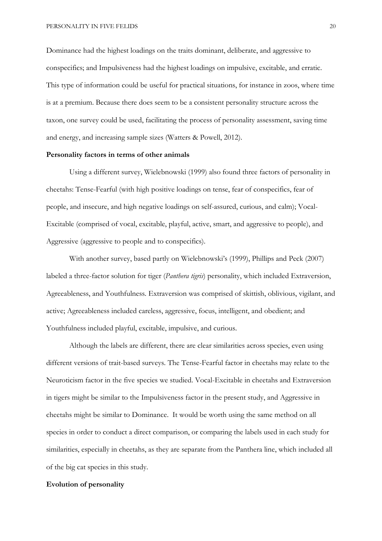Dominance had the highest loadings on the traits dominant, deliberate, and aggressive to conspecifics; and Impulsiveness had the highest loadings on impulsive, excitable, and erratic. This type of information could be useful for practical situations, for instance in zoos, where time is at a premium. Because there does seem to be a consistent personality structure across the taxon, one survey could be used, facilitating the process of personality assessment, saving time and energy, and increasing sample sizes (Watters & Powell, 2012).

### Personality factors in terms of other animals

 Using a different survey, Wielebnowski (1999) also found three factors of personality in cheetahs: Tense-Fearful (with high positive loadings on tense, fear of conspecifics, fear of people, and insecure, and high negative loadings on self-assured, curious, and calm); Vocal-Excitable (comprised of vocal, excitable, playful, active, smart, and aggressive to people), and Aggressive (aggressive to people and to conspecifics).

With another survey, based partly on Wielebnowski's (1999), Phillips and Peck (2007) labeled a three-factor solution for tiger (Panthera tigris) personality, which included Extraversion, Agreeableness, and Youthfulness. Extraversion was comprised of skittish, oblivious, vigilant, and active; Agreeableness included careless, aggressive, focus, intelligent, and obedient; and Youthfulness included playful, excitable, impulsive, and curious.

Although the labels are different, there are clear similarities across species, even using different versions of trait-based surveys. The Tense-Fearful factor in cheetahs may relate to the Neuroticism factor in the five species we studied. Vocal-Excitable in cheetahs and Extraversion in tigers might be similar to the Impulsiveness factor in the present study, and Aggressive in cheetahs might be similar to Dominance. It would be worth using the same method on all species in order to conduct a direct comparison, or comparing the labels used in each study for similarities, especially in cheetahs, as they are separate from the Panthera line, which included all of the big cat species in this study.

## Evolution of personality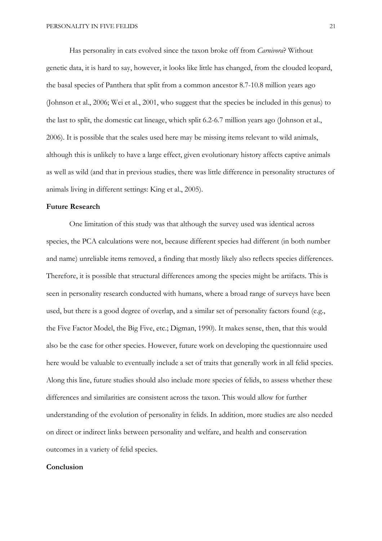Has personality in cats evolved since the taxon broke off from *Carnivora*? Without genetic data, it is hard to say, however, it looks like little has changed, from the clouded leopard, the basal species of Panthera that split from a common ancestor 8.7-10.8 million years ago (Johnson et al., 2006; Wei et al., 2001, who suggest that the species be included in this genus) to the last to split, the domestic cat lineage, which split 6.2-6.7 million years ago (Johnson et al., 2006). It is possible that the scales used here may be missing items relevant to wild animals, although this is unlikely to have a large effect, given evolutionary history affects captive animals as well as wild (and that in previous studies, there was little difference in personality structures of animals living in different settings: King et al., 2005).

## Future Research

One limitation of this study was that although the survey used was identical across species, the PCA calculations were not, because different species had different (in both number and name) unreliable items removed, a finding that mostly likely also reflects species differences. Therefore, it is possible that structural differences among the species might be artifacts. This is seen in personality research conducted with humans, where a broad range of surveys have been used, but there is a good degree of overlap, and a similar set of personality factors found (e.g., the Five Factor Model, the Big Five, etc.; Digman, 1990). It makes sense, then, that this would also be the case for other species. However, future work on developing the questionnaire used here would be valuable to eventually include a set of traits that generally work in all felid species. Along this line, future studies should also include more species of felids, to assess whether these differences and similarities are consistent across the taxon. This would allow for further understanding of the evolution of personality in felids. In addition, more studies are also needed on direct or indirect links between personality and welfare, and health and conservation outcomes in a variety of felid species.

## Conclusion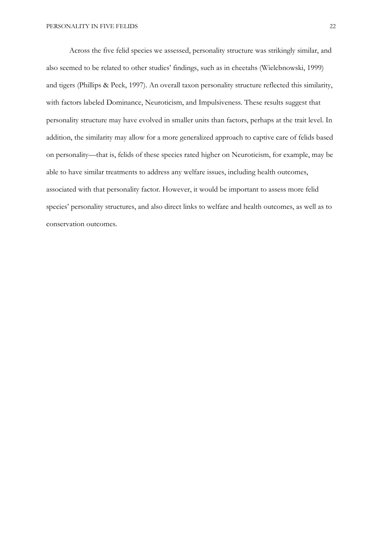Across the five felid species we assessed, personality structure was strikingly similar, and also seemed to be related to other studies' findings, such as in cheetahs (Wielebnowski, 1999) and tigers (Phillips & Peck, 1997). An overall taxon personality structure reflected this similarity, with factors labeled Dominance, Neuroticism, and Impulsiveness. These results suggest that personality structure may have evolved in smaller units than factors, perhaps at the trait level. In addition, the similarity may allow for a more generalized approach to captive care of felids based on personality—that is, felids of these species rated higher on Neuroticism, for example, may be able to have similar treatments to address any welfare issues, including health outcomes, associated with that personality factor. However, it would be important to assess more felid species' personality structures, and also direct links to welfare and health outcomes, as well as to conservation outcomes.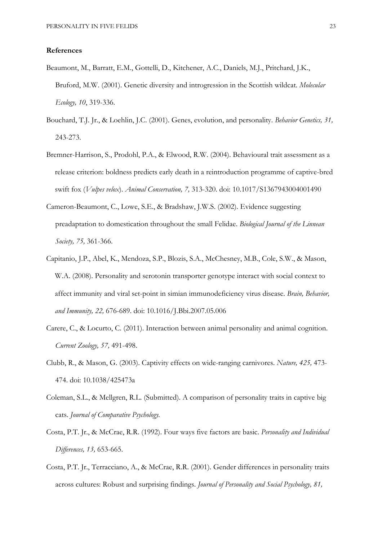#### References

- Beaumont, M., Barratt, E.M., Gottelli, D., Kitchener, A.C., Daniels, M.J., Pritchard, J.K., Bruford, M.W. (2001). Genetic diversity and introgression in the Scottish wildcat. Molecular Ecology, 10, 319-336.
- Bouchard, T.J. Jr., & Loehlin, J.C. (2001). Genes, evolution, and personality. Behavior Genetics, 31, 243-273.
- Bremner-Harrison, S., Prodohl, P.A., & Elwood, R.W. (2004). Behavioural trait assessment as a release criterion: boldness predicts early death in a reintroduction programme of captive-bred swift fox (*Vulpes velox*). Animal Conservation, 7, 313-320. doi: 10.1017/S1367943004001490
- Cameron-Beaumont, C., Lowe, S.E., & Bradshaw, J.W.S. (2002). Evidence suggesting preadaptation to domestication throughout the small Felidae. Biological Journal of the Linnean Society, 75, 361-366.
- Capitanio, J.P., Abel, K., Mendoza, S.P., Blozis, S.A., McChesney, M.B., Cole, S.W., & Mason, W.A. (2008). Personality and serotonin transporter genotype interact with social context to affect immunity and viral set-point in simian immunodeficiency virus disease. Brain, Behavior, and Immunity, 22, 676-689. doi: 10.1016/J.Bbi.2007.05.006
- Carere, C., & Locurto, C. (2011). Interaction between animal personality and animal cognition. Current Zoology, 57, 491-498.
- Clubb, R., & Mason, G. (2003). Captivity effects on wide-ranging carnivores. Nature, 425, 473- 474. doi: 10.1038/425473a
- Coleman, S.L., & Mellgren, R.L. (Submitted). A comparison of personality traits in captive big cats. Journal of Comparative Psychology.
- Costa, P.T. Jr., & McCrae, R.R. (1992). Four ways five factors are basic. Personality and Individual Differences, 13, 653-665.
- Costa, P.T. Jr., Terracciano, A., & McCrae, R.R. (2001). Gender differences in personality traits across cultures: Robust and surprising findings. Journal of Personality and Social Psychology, 81,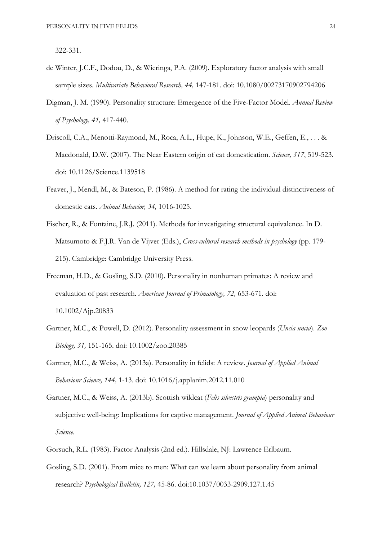322-331.

- de Winter, J.C.F., Dodou, D., & Wieringa, P.A. (2009). Exploratory factor analysis with small sample sizes. Multivariate Behavioral Research, 44, 147-181. doi: 10.1080/00273170902794206
- Digman, J. M. (1990). Personality structure: Emergence of the Five-Factor Model. Annual Review of Psychology, 41, 417-440.
- Driscoll, C.A., Menotti-Raymond, M., Roca, A.L., Hupe, K., Johnson, W.E., Geffen, E., . . . & Macdonald, D.W. (2007). The Near Eastern origin of cat domestication. Science, 317, 519-523. doi: 10.1126/Science.1139518
- Feaver, J., Mendl, M., & Bateson, P. (1986). A method for rating the individual distinctiveness of domestic cats. Animal Behavior, 34, 1016-1025.
- Fischer, R., & Fontaine, J.R.J. (2011). Methods for investigating structural equivalence. In D. Matsumoto & F.J.R. Van de Vijver (Eds.), Cross-cultural research methods in psychology (pp. 179-215). Cambridge: Cambridge University Press.
- Freeman, H.D., & Gosling, S.D. (2010). Personality in nonhuman primates: A review and evaluation of past research. American Journal of Primatology, 72, 653-671. doi: 10.1002/Ajp.20833
- Gartner, M.C., & Powell, D. (2012). Personality assessment in snow leopards (Uncia uncia). Zoo Biology, 31, 151-165. doi: 10.1002/zoo.20385
- Gartner, M.C., & Weiss, A. (2013a). Personality in felids: A review. Journal of Applied Animal Behaviour Science, 144, 1-13. doi: 10.1016/j.applanim.2012.11.010
- Gartner, M.C., & Weiss, A. (2013b). Scottish wildcat (Felis silvestris grampia) personality and subjective well-being: Implications for captive management. Journal of Applied Animal Behaviour Science.
- Gorsuch, R.L. (1983). Factor Analysis (2nd ed.). Hillsdale, NJ: Lawrence Erlbaum.
- Gosling, S.D. (2001). From mice to men: What can we learn about personality from animal research? Psychological Bulletin, 127, 45-86. doi:10.1037/0033-2909.127.1.45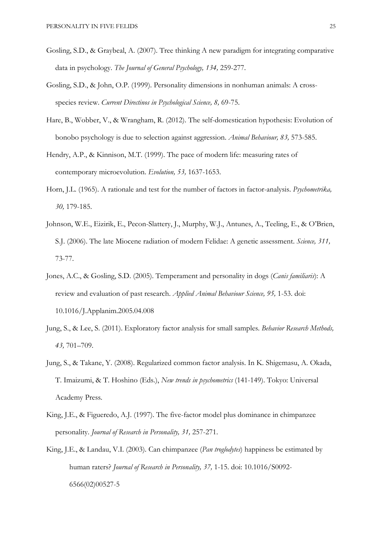- Gosling, S.D., & Graybeal, A. (2007). Tree thinking A new paradigm for integrating comparative data in psychology. The Journal of General Psychology, 134, 259-277.
- Gosling, S.D., & John, O.P. (1999). Personality dimensions in nonhuman animals: A crossspecies review. Current Directinos in Psychological Science, 8, 69-75.
- Hare, B., Wobber, V., & Wrangham, R. (2012). The self-domestication hypothesis: Evolution of bonobo psychology is due to selection against aggression. Animal Behaviour, 83, 573-585.
- Hendry, A.P., & Kinnison, M.T. (1999). The pace of modern life: measuring rates of contemporary microevolution. Evolution, 53, 1637-1653.
- Horn, J.L. (1965). A rationale and test for the number of factors in factor-analysis. *Psychometrika*, 30, 179-185.
- Johnson, W.E., Eizirik, E., Pecon-Slattery, J., Murphy, W.J., Antunes, A., Teeling, E., & O'Brien, S.J. (2006). The late Miocene radiation of modern Felidae: A genetic assessment. Science, 311, 73-77.
- Jones, A.C., & Gosling, S.D. (2005). Temperament and personality in dogs (*Canis familiaris*): A review and evaluation of past research. Applied Animal Behaviour Science, 95, 1-53. doi: 10.1016/J.Applanim.2005.04.008
- Jung, S., & Lee, S. (2011). Exploratory factor analysis for small samples. Behavior Research Methods, 43, 701–709.
- Jung, S., & Takane, Y. (2008). Regularized common factor analysis. In K. Shigemasu, A. Okada, T. Imaizumi, & T. Hoshino (Eds.), New trends in psychometrics (141-149). Tokyo: Universal Academy Press.
- King, J.E., & Figueredo, A.J. (1997). The five-factor model plus dominance in chimpanzee personality. Journal of Research in Personality, 31, 257-271.
- King, J.E., & Landau, V.I. (2003). Can chimpanzee (Pan troglodytes) happiness be estimated by human raters? Journal of Research in Personality, 37, 1-15. doi: 10.1016/S0092- 6566(02)00527-5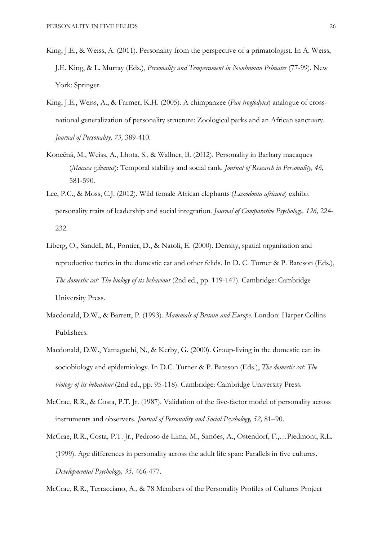- King, J.E., & Weiss, A. (2011). Personality from the perspective of a primatologist. In A. Weiss, J.E. King, & L. Murray (Eds.), Personality and Temperament in Nonhuman Primates (77-99). New York: Springer.
- King, J.E., Weiss, A., & Farmer, K.H. (2005). A chimpanzee (Pan troglodytes) analogue of crossnational generalization of personality structure: Zoological parks and an African sanctuary. Journal of Personality, 73, 389-410.
- Konečná, M., Weiss, A., Lhota, S., & Wallner, B. (2012). Personality in Barbary macaques (Macaca sylvanus): Temporal stability and social rank. Journal of Research in Personality, 46, 581-590.
- Lee, P.C., & Moss, C.J. (2012). Wild female African elephants (Loxodonta africana) exhibit personality traits of leadership and social integration. Journal of Comparative Psychology, 126, 224- 232.
- Liberg, O., Sandell, M., Pontier, D., & Natoli, E. (2000). Density, spatial organisation and reproductive tactics in the domestic cat and other felids. In D. C. Turner & P. Bateson (Eds.), The domestic cat: The biology of its behaviour (2nd ed., pp. 119-147). Cambridge: Cambridge University Press.
- Macdonald, D.W., & Barrett, P. (1993). Mammals of Britain and Europe. London: Harper Collins Publishers.
- Macdonald, D.W., Yamaguchi, N., & Kerby, G. (2000). Group-living in the domestic cat: its sociobiology and epidemiology. In D.C. Turner & P. Bateson (Eds.), The domestic cat: The biology of its behaviour (2nd ed., pp. 95-118). Cambridge: Cambridge University Press.
- McCrae, R.R., & Costa, P.T. Jr. (1987). Validation of the five-factor model of personality across instruments and observers. Journal of Personality and Social Psychology, 52, 81–90.
- McCrae, R.R., Costa, P.T. Jr., Pedroso de Lima, M., Simões, A., Ostendorf, F.,…Piedmont, R.L. (1999). Age differences in personality across the adult life span: Parallels in five cultures. Developmental Psychology, 35, 466-477.

McCrae, R.R., Terracciano, A., & 78 Members of the Personality Profiles of Cultures Project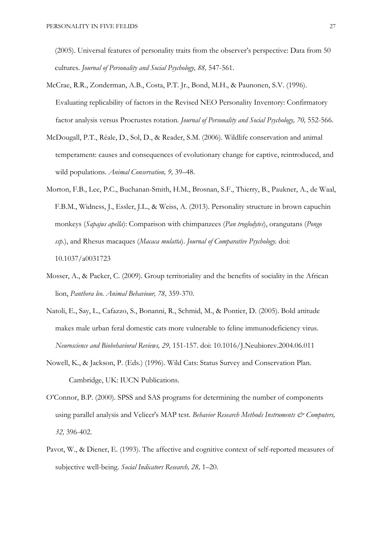(2005). Universal features of personality traits from the observer's perspective: Data from 50 cultures. Journal of Personality and Social Psychology, 88, 547-561.

- McCrae, R.R., Zonderman, A.B., Costa, P.T. Jr., Bond, M.H., & Paunonen, S.V. (1996). Evaluating replicability of factors in the Revised NEO Personality Inventory: Confirmatory factor analysis versus Procrustes rotation. Journal of Personality and Social Psychology, 70, 552-566.
- McDougall, P.T., Réale, D., Sol, D., & Reader, S.M. (2006). Wildlife conservation and animal temperament: causes and consequences of evolutionary change for captive, reintroduced, and wild populations. Animal Conservation, 9, 39–48.
- Morton, F.B., Lee, P.C., Buchanan-Smith, H.M., Brosnan, S.F., Thierry, B., Paukner, A., de Waal, F.B.M., Widness, J., Essler, J.L., & Weiss, A. (2013). Personality structure in brown capuchin monkeys (Sapajus apella): Comparison with chimpanzees (Pan troglodytes), orangutans (Pongo ssp.), and Rhesus macaques (Macaca mulatta). Journal of Comparative Psychology. doi: 10.1037/a0031723
- Mosser, A., & Packer, C. (2009). Group territoriality and the benefits of sociality in the African lion, Panthera leo. Animal Behaviour, 78, 359-370.
- Natoli, E., Say, L., Cafazzo, S., Bonanni, R., Schmid, M., & Pontier, D. (2005). Bold attitude makes male urban feral domestic cats more vulnerable to feline immunodeficiency virus. Neuroscience and Biobehavioral Reviews, 29, 151-157. doi: 10.1016/J.Neubiorev.2004.06.011
- Nowell, K., & Jackson, P. (Eds.) (1996). Wild Cats: Status Survey and Conservation Plan. Cambridge, UK: IUCN Publications.
- O'Connor, B.P. (2000). SPSS and SAS programs for determining the number of components using parallel analysis and Velicer's MAP test. Behavior Research Methods Instruments & Computers, 32, 396-402.
- Pavot, W., & Diener, E. (1993). The affective and cognitive context of self-reported measures of subjective well-being. Social Indicators Research, 28, 1-20.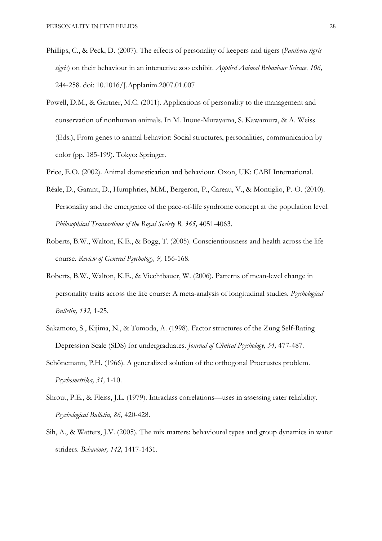- Phillips, C., & Peck, D. (2007). The effects of personality of keepers and tigers (*Panthera tigris* tigris) on their behaviour in an interactive zoo exhibit. Applied Animal Behaviour Science, 106, 244-258. doi: 10.1016/J.Applanim.2007.01.007
- Powell, D.M., & Gartner, M.C. (2011). Applications of personality to the management and conservation of nonhuman animals. In M. Inoue-Murayama, S. Kawamura, & A. Weiss (Eds.), From genes to animal behavior: Social structures, personalities, communication by color (pp. 185-199). Tokyo: Springer.
- Price, E.O. (2002). Animal domestication and behaviour. Oxon, UK: CABI International.
- Réale, D., Garant, D., Humphries, M.M., Bergeron, P., Careau, V., & Montiglio, P.-O. (2010). Personality and the emergence of the pace-of-life syndrome concept at the population level. Philosophical Transactions of the Royal Society B, 365, 4051-4063.
- Roberts, B.W., Walton, K.E., & Bogg, T. (2005). Conscientiousness and health across the life course. Review of General Psychology, 9, 156-168.
- Roberts, B.W., Walton, K.E., & Viechtbauer, W. (2006). Patterns of mean-level change in personality traits across the life course: A meta-analysis of longitudinal studies. Psychological Bulletin, 132, 1-25.
- Sakamoto, S., Kijima, N., & Tomoda, A. (1998). Factor structures of the Zung Self-Rating Depression Scale (SDS) for undergraduates. Journal of Clinical Psychology, 54, 477-487.
- Schönemann, P.H. (1966). A generalized solution of the orthogonal Procrustes problem. Psychometrika, 31, 1-10.
- Shrout, P.E., & Fleiss, J.L. (1979). Intraclass correlations—uses in assessing rater reliability. Psychological Bulletin, 86, 420-428.
- Sih, A., & Watters, J.V. (2005). The mix matters: behavioural types and group dynamics in water striders. Behaviour, 142, 1417-1431.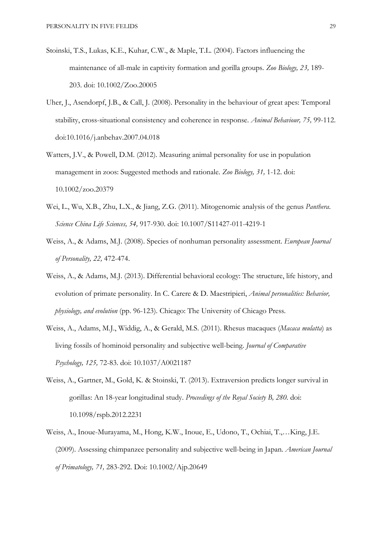- Stoinski, T.S., Lukas, K.E., Kuhar, C.W., & Maple, T.L. (2004). Factors influencing the maintenance of all-male in captivity formation and gorilla groups. Zoo Biology, 23, 189- 203. doi: 10.1002/Zoo.20005
- Uher, J., Asendorpf, J.B., & Call, J. (2008). Personality in the behaviour of great apes: Temporal stability, cross-situational consistency and coherence in response. Animal Behaviour, 75, 99-112. doi:10.1016/j.anbehav.2007.04.018
- Watters, J.V., & Powell, D.M. (2012). Measuring animal personality for use in population management in zoos: Suggested methods and rationale. Zoo Biology, 31, 1-12. doi: 10.1002/zoo.20379
- Wei, L., Wu, X.B., Zhu, L.X., & Jiang, Z.G. (2011). Mitogenomic analysis of the genus Panthera. Science China Life Sciences, 54, 917-930. doi: 10.1007/S11427-011-4219-1
- Weiss, A., & Adams, M.J. (2008). Species of nonhuman personality assessment. European Journal of Personality, 22, 472-474.
- Weiss, A., & Adams, M.J. (2013). Differential behavioral ecology: The structure, life history, and evolution of primate personality. In C. Carere & D. Maestripieri, Animal personalities: Behavior, physiology, and evolution (pp. 96-123). Chicago: The University of Chicago Press.
- Weiss, A., Adams, M.J., Widdig, A., & Gerald, M.S. (2011). Rhesus macaques (Macaca mulatta) as living fossils of hominoid personality and subjective well-being. Journal of Comparative Psychology, 125, 72-83. doi: 10.1037/A0021187
- Weiss, A., Gartner, M., Gold, K. & Stoinski, T. (2013). Extraversion predicts longer survival in gorillas: An 18-year longitudinal study. Proceedings of the Royal Society B, 280. doi: 10.1098/rspb.2012.2231
- Weiss, A., Inoue-Murayama, M., Hong, K.W., Inoue, E., Udono, T., Ochiai, T.,…King, J.E. (2009). Assessing chimpanzee personality and subjective well-being in Japan. American Journal of Primatology, 71, 283-292. Doi: 10.1002/Ajp.20649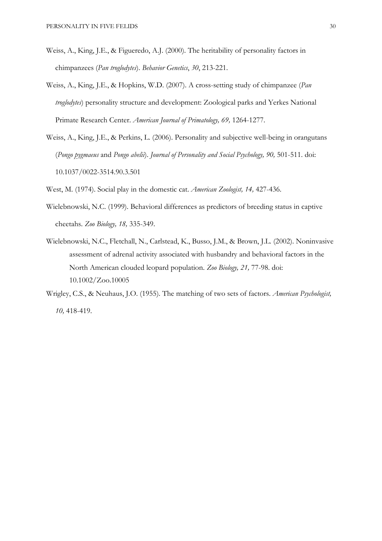- Weiss, A., King, J.E., & Figueredo, A.J. (2000). The heritability of personality factors in chimpanzees (Pan troglodytes). Behavior Genetics, 30, 213-221.
- Weiss, A., King, J.E., & Hopkins, W.D. (2007). A cross-setting study of chimpanzee (Pan troglodytes) personality structure and development: Zoological parks and Yerkes National Primate Research Center. American Journal of Primatology, 69, 1264-1277.
- Weiss, A., King, J.E., & Perkins, L. (2006). Personality and subjective well-being in orangutans (Pongo pygmaeus and Pongo abelii). Journal of Personality and Social Psychology, 90, 501-511. doi: 10.1037/0022-3514.90.3.501

West, M. (1974). Social play in the domestic cat. American Zoologist, 14, 427-436.

- Wielebnowski, N.C. (1999). Behavioral differences as predictors of breeding status in captive cheetahs. Zoo Biology, 18, 335-349.
- Wielebnowski, N.C., Fletchall, N., Carlstead, K., Busso, J.M., & Brown, J.L. (2002). Noninvasive assessment of adrenal activity associated with husbandry and behavioral factors in the North American clouded leopard population. Zoo Biology, 21, 77-98. doi: 10.1002/Zoo.10005
- Wrigley, C.S., & Neuhaus, J.O. (1955). The matching of two sets of factors. American Psychologist, 10, 418-419.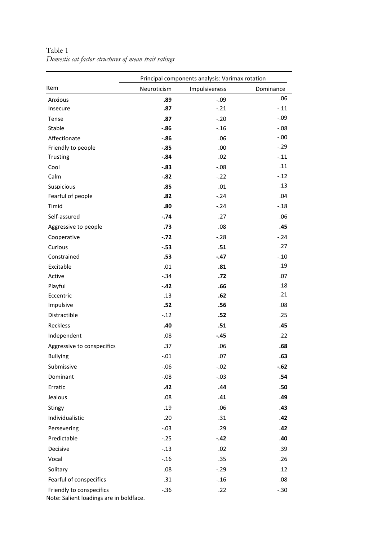|                            | Principal components analysis: Varimax rotation |               |           |  |  |  |  |  |  |  |
|----------------------------|-------------------------------------------------|---------------|-----------|--|--|--|--|--|--|--|
| Item                       | Neuroticism                                     | Impulsiveness | Dominance |  |  |  |  |  |  |  |
| Anxious                    | .89                                             | $-.09$        | .06       |  |  |  |  |  |  |  |
| Insecure                   | .87                                             | $-.21$        | $-.11$    |  |  |  |  |  |  |  |
| Tense                      | .87                                             | $-.20$        | $-.09$    |  |  |  |  |  |  |  |
| Stable                     | $-.86$                                          | $-.16$        | $-.08$    |  |  |  |  |  |  |  |
| Affectionate               | $-.86$                                          | .06           | $-.00$    |  |  |  |  |  |  |  |
| Friendly to people         | $-.85$                                          | .00           | $-.29$    |  |  |  |  |  |  |  |
| Trusting                   | $-.84$                                          | .02           | $-.11$    |  |  |  |  |  |  |  |
| Cool                       | $-.83$                                          | $-.08$        | .11       |  |  |  |  |  |  |  |
| Calm                       | $-.82$                                          | $-22$         | $-12$     |  |  |  |  |  |  |  |
| Suspicious                 | .85                                             | .01           | .13       |  |  |  |  |  |  |  |
| Fearful of people          | .82                                             | $-24$         | .04       |  |  |  |  |  |  |  |
| Timid                      | .80                                             | $-24$         | $-.18$    |  |  |  |  |  |  |  |
| Self-assured               | $-0.74$                                         | .27           | .06       |  |  |  |  |  |  |  |
| Aggressive to people       | .73                                             | .08           | .45       |  |  |  |  |  |  |  |
| Cooperative                | $-.72$                                          | $-28$         | $-.24$    |  |  |  |  |  |  |  |
| Curious                    | $-.53$                                          | .51           | .27       |  |  |  |  |  |  |  |
| Constrained                | .53                                             | $-.47$        | $-.10$    |  |  |  |  |  |  |  |
| Excitable                  | .01                                             | .81           | .19       |  |  |  |  |  |  |  |
| Active                     | $-.34$                                          | .72           | .07       |  |  |  |  |  |  |  |
| Playful                    | $-.42$                                          | .66           | .18       |  |  |  |  |  |  |  |
| Eccentric                  | .13                                             | .62           | .21       |  |  |  |  |  |  |  |
| Impulsive                  | .52                                             | .56           | .08       |  |  |  |  |  |  |  |
| Distractible               | $-12$                                           | .52           | .25       |  |  |  |  |  |  |  |
| Reckless                   | .40                                             | .51           | .45       |  |  |  |  |  |  |  |
| Independent                | .08                                             | $-.45$        | .22       |  |  |  |  |  |  |  |
| Aggressive to conspecifics | .37                                             | .06           | .68       |  |  |  |  |  |  |  |
| <b>Bullying</b>            | $-.01$                                          | .07           | .63       |  |  |  |  |  |  |  |
| Submissive                 | $-.06$                                          | $-.02$        | $-.62$    |  |  |  |  |  |  |  |
| Dominant                   | $-.08$                                          | $-.03$        | .54       |  |  |  |  |  |  |  |
| Erratic                    | .42                                             | .44           | .50       |  |  |  |  |  |  |  |
| Jealous                    | .08                                             | .41           | .49       |  |  |  |  |  |  |  |
| Stingy                     | .19                                             | .06           | .43       |  |  |  |  |  |  |  |
| Individualistic            | .20                                             | .31           | .42       |  |  |  |  |  |  |  |
| Persevering                | $-.03$                                          | .29           | .42       |  |  |  |  |  |  |  |
| Predictable                | $-.25$                                          | $-.42$        | .40       |  |  |  |  |  |  |  |
| Decisive                   | $-.13$                                          | .02           | .39       |  |  |  |  |  |  |  |
| Vocal                      | $-.16$                                          | .35           | .26       |  |  |  |  |  |  |  |
| Solitary                   | .08                                             | $-.29$        | .12       |  |  |  |  |  |  |  |
| Fearful of conspecifics    | .31                                             | $-.16$        | .08       |  |  |  |  |  |  |  |
| Friendly to conspecifics   | $-.36$                                          | .22           | $-.30$    |  |  |  |  |  |  |  |

Table 1 Domestic cat factor structures of mean trait ratings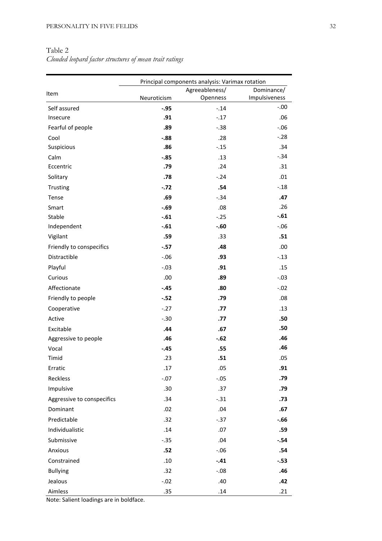# Table 2

Clouded leopard factor structures of mean trait ratings

|                            | Principal components analysis: Varimax rotation |                |               |  |  |  |  |  |  |
|----------------------------|-------------------------------------------------|----------------|---------------|--|--|--|--|--|--|
| Item                       |                                                 | Agreeableness/ | Dominance/    |  |  |  |  |  |  |
|                            | Neuroticism                                     | Openness       | Impulsiveness |  |  |  |  |  |  |
| Self assured               | $-.95$                                          | $-.14$         | $-.00$        |  |  |  |  |  |  |
| Insecure                   | .91                                             | $-17$          | .06           |  |  |  |  |  |  |
| Fearful of people          | .89                                             | $-.38$         | $-.06$        |  |  |  |  |  |  |
| Cool                       | $-0.88$                                         | .28            | $-28$         |  |  |  |  |  |  |
| Suspicious                 | .86                                             | $-.15$         | .34           |  |  |  |  |  |  |
| Calm                       | $-.85$                                          | .13            | $-.34$        |  |  |  |  |  |  |
| Eccentric                  | .79                                             | .24            | .31           |  |  |  |  |  |  |
| Solitary                   | .78                                             | $-.24$         | .01           |  |  |  |  |  |  |
| Trusting                   | $-.72$                                          | .54            | $-.18$        |  |  |  |  |  |  |
| Tense                      | .69                                             | $-.34$         | .47           |  |  |  |  |  |  |
| Smart                      | $-.69$                                          | .08            | .26           |  |  |  |  |  |  |
| Stable                     | $-.61$                                          | $-.25$         | $-.61$        |  |  |  |  |  |  |
| Independent                | $-.61$                                          | $-.60$         | $-0.06$       |  |  |  |  |  |  |
| Vigilant                   | .59                                             | .33            | .51           |  |  |  |  |  |  |
| Friendly to conspecifics   | $-.57$                                          | .48            | .00           |  |  |  |  |  |  |
| Distractible               | $-.06$                                          | .93            | $-.13$        |  |  |  |  |  |  |
| Playful                    | $-.03$                                          | .91            | .15           |  |  |  |  |  |  |
| Curious                    | .00                                             | .89            | $-.03$        |  |  |  |  |  |  |
| Affectionate               | $-.45$                                          | .80            | $-0.02$       |  |  |  |  |  |  |
| Friendly to people         | $-.52$                                          | .79            | .08           |  |  |  |  |  |  |
| Cooperative                | $-27$                                           | .77            | .13           |  |  |  |  |  |  |
| Active                     | $-.30$                                          | .77            | .50           |  |  |  |  |  |  |
| Excitable                  | .44                                             | .67            | .50           |  |  |  |  |  |  |
| Aggressive to people       | .46                                             | $-.62$         | .46           |  |  |  |  |  |  |
| Vocal                      | $-.45$                                          | .55            | .46           |  |  |  |  |  |  |
| Timid                      | .23                                             | .51            | .05           |  |  |  |  |  |  |
| Erratic                    | .17                                             | .05            | .91           |  |  |  |  |  |  |
| Reckless                   | $-.07$                                          | $-.05$         | .79           |  |  |  |  |  |  |
| Impulsive                  | .30                                             | .37            | .79           |  |  |  |  |  |  |
| Aggressive to conspecifics | .34                                             | $-.31$         | .73           |  |  |  |  |  |  |
| Dominant                   | .02                                             | .04            | .67           |  |  |  |  |  |  |
| Predictable                | .32                                             | $-.37$         | $-0.66$       |  |  |  |  |  |  |
| Individualistic            | .14                                             | .07            | .59           |  |  |  |  |  |  |
| Submissive                 | $-.35$                                          | .04            | $-.54$        |  |  |  |  |  |  |
| Anxious                    | .52                                             | $-.06$         | .54           |  |  |  |  |  |  |
| Constrained                | .10                                             | $-.41$         | $-.53$        |  |  |  |  |  |  |
| <b>Bullying</b>            | .32                                             | $-.08$         | .46           |  |  |  |  |  |  |
| Jealous                    | $-.02$                                          | .40            | .42           |  |  |  |  |  |  |
| Aimless                    | .35                                             | .14            | .21           |  |  |  |  |  |  |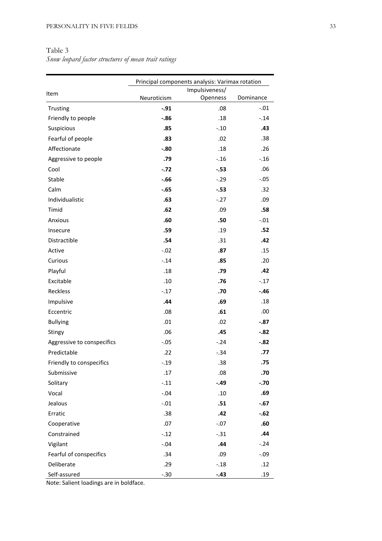# Table 3

Snow leopard factor structures of mean trait ratings

|                            | Principal components analysis: Varimax rotation |                |           |  |  |  |  |  |  |
|----------------------------|-------------------------------------------------|----------------|-----------|--|--|--|--|--|--|
| Item                       |                                                 | Impulsiveness/ |           |  |  |  |  |  |  |
|                            | Neuroticism                                     | Openness       | Dominance |  |  |  |  |  |  |
| Trusting                   | $-.91$                                          | .08            | $-.01$    |  |  |  |  |  |  |
| Friendly to people         | $-.86$                                          | .18            | $-.14$    |  |  |  |  |  |  |
| Suspicious                 | .85                                             | $-.10$         | .43       |  |  |  |  |  |  |
| Fearful of people          | .83                                             | .02            | .38       |  |  |  |  |  |  |
| Affectionate               | $-.80$                                          | .18            | .26       |  |  |  |  |  |  |
| Aggressive to people       | .79                                             | $-.16$         | $-.16$    |  |  |  |  |  |  |
| Cool                       | $-.72$                                          | $-.53$         | .06       |  |  |  |  |  |  |
| Stable                     | $-.66$                                          | $-.29$         | $-.05$    |  |  |  |  |  |  |
| Calm                       | $-.65$                                          | $-.53$         | .32       |  |  |  |  |  |  |
| Individualistic            | .63                                             | $-.27$         | .09       |  |  |  |  |  |  |
| Timid                      | .62                                             | .09            | .58       |  |  |  |  |  |  |
| Anxious                    | .60                                             | .50            | $-.01$    |  |  |  |  |  |  |
| Insecure                   | .59                                             | .19            | .52       |  |  |  |  |  |  |
| Distractible               | .54                                             | .31            | .42       |  |  |  |  |  |  |
| Active                     | $-.02$                                          | .87            | .15       |  |  |  |  |  |  |
| Curious                    | $-.14$                                          | .85            | .20       |  |  |  |  |  |  |
| Playful                    | .18                                             | .79            | .42       |  |  |  |  |  |  |
| Excitable                  | .10                                             | .76            | $-.17$    |  |  |  |  |  |  |
| Reckless                   | $-.17$                                          | .70            | $-.46$    |  |  |  |  |  |  |
| Impulsive                  | .44                                             | .69            | .18       |  |  |  |  |  |  |
| Eccentric                  | .08                                             | .61            | .00       |  |  |  |  |  |  |
| <b>Bullying</b>            | .01                                             | .02            | $-.87$    |  |  |  |  |  |  |
| Stingy                     | .06                                             | .45            | $-.82$    |  |  |  |  |  |  |
| Aggressive to conspecifics | $-.05$                                          | $-.24$         | $-.82$    |  |  |  |  |  |  |
| Predictable                | .22                                             | $-.34$         | .77       |  |  |  |  |  |  |
| Friendly to conspecifics   | .19                                             | .38            | .75       |  |  |  |  |  |  |
| Submissive                 | .17                                             | .08            | .70       |  |  |  |  |  |  |
| Solitary                   | $-.11$                                          | $-.49$         | $-.70$    |  |  |  |  |  |  |
| Vocal                      | $-.04$                                          | .10            | .69       |  |  |  |  |  |  |
| Jealous                    | $-.01$                                          | .51            | $-.67$    |  |  |  |  |  |  |
| Erratic                    | .38                                             | .42            | $-.62$    |  |  |  |  |  |  |
| Cooperative                | .07                                             | $-.07$         | .60       |  |  |  |  |  |  |
| Constrained                | $-.12$                                          | $-.31$         | .44       |  |  |  |  |  |  |
| Vigilant                   | $-.04$                                          | .44            | $-.24$    |  |  |  |  |  |  |
| Fearful of conspecifics    | .34                                             | .09            | $-.09$    |  |  |  |  |  |  |
| Deliberate                 | .29                                             | $-.18$         | .12       |  |  |  |  |  |  |
| Self-assured               | $-.30$                                          | $-.43$         | .19       |  |  |  |  |  |  |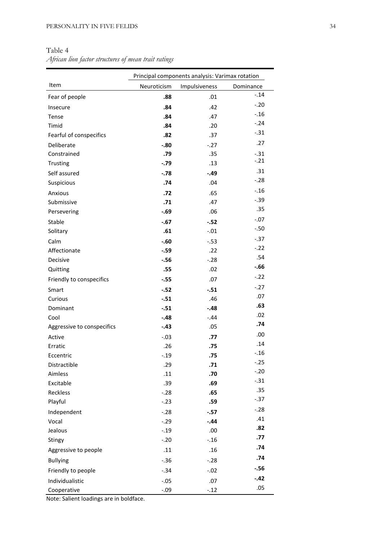Table 4

African lion factor structures of mean trait ratings

|                            | Principal components analysis: Varimax rotation |               |           |  |  |  |  |  |  |  |
|----------------------------|-------------------------------------------------|---------------|-----------|--|--|--|--|--|--|--|
| Item                       | Neuroticism                                     | Impulsiveness | Dominance |  |  |  |  |  |  |  |
| Fear of people             | .88                                             | .01           | $-.14$    |  |  |  |  |  |  |  |
| Insecure                   | .84                                             | .42           | $-.20$    |  |  |  |  |  |  |  |
| Tense                      | .84                                             | .47           | $-.16$    |  |  |  |  |  |  |  |
| Timid                      | .84                                             | .20           | $-24$     |  |  |  |  |  |  |  |
| Fearful of conspecifics    | .82                                             | .37           | $-.31$    |  |  |  |  |  |  |  |
| Deliberate                 | $-.80$                                          | $-.27$        | .27       |  |  |  |  |  |  |  |
| Constrained                | .79                                             | .35           | $-.31$    |  |  |  |  |  |  |  |
| Trusting                   | $-.79$                                          | .13           | $-21$     |  |  |  |  |  |  |  |
| Self assured               | $-.78$                                          | $-.49$        | .31       |  |  |  |  |  |  |  |
| Suspicious                 | .74                                             | .04           | $-.28$    |  |  |  |  |  |  |  |
| Anxious                    | .72                                             | .65           | $-.16$    |  |  |  |  |  |  |  |
| Submissive                 | .71                                             | .47           | $-.39$    |  |  |  |  |  |  |  |
| Persevering                | $-.69$                                          | .06           | .35       |  |  |  |  |  |  |  |
| Stable                     | $-.67$                                          | $-.52$        | $-.07$    |  |  |  |  |  |  |  |
| Solitary                   | .61                                             | $-.01$        | $-.50$    |  |  |  |  |  |  |  |
| Calm                       | $-.60$                                          | $-.53$        | $-0.37$   |  |  |  |  |  |  |  |
| Affectionate               | $-.59$                                          | .22           | $-22$     |  |  |  |  |  |  |  |
| Decisive                   | $-.56$                                          | $-.28$        | .54       |  |  |  |  |  |  |  |
| Quitting                   | .55                                             | .02           | -.66      |  |  |  |  |  |  |  |
| Friendly to conspecifics   | $-.55$                                          | .07           | $-22$     |  |  |  |  |  |  |  |
| Smart                      | $-.52$                                          | $-.51$        | $-.27$    |  |  |  |  |  |  |  |
| Curious                    | $-.51$                                          | .46           | .07       |  |  |  |  |  |  |  |
| Dominant                   | $-.51$                                          | $-.48$        | .63       |  |  |  |  |  |  |  |
| Cool                       | $-.48$                                          | $-.44$        | .02       |  |  |  |  |  |  |  |
| Aggressive to conspecifics | $-.43$                                          | .05           | .74       |  |  |  |  |  |  |  |
| Active                     | $-.03$                                          | .77           | .00       |  |  |  |  |  |  |  |
| Erratic                    | .26                                             | .75           | .14       |  |  |  |  |  |  |  |
| Eccentric                  | $-0.19$                                         | .75           | $-.16$    |  |  |  |  |  |  |  |
| Distractible               | .29                                             | .71           | $-0.25$   |  |  |  |  |  |  |  |
| Aimless                    | .11                                             | .70           | $-.20$    |  |  |  |  |  |  |  |
| Excitable                  | .39                                             | .69           | $-.31$    |  |  |  |  |  |  |  |
| Reckless                   | $-.28$                                          | .65           | .35       |  |  |  |  |  |  |  |
| Playful                    | $-.23$                                          | .59           | $-.37$    |  |  |  |  |  |  |  |
| Independent                | $-.28$                                          | $-.57$        | $-.28$    |  |  |  |  |  |  |  |
| Vocal                      | $-.29$                                          | $-.44$        | .41       |  |  |  |  |  |  |  |
| Jealous                    | $-.19$                                          | .00           | .82       |  |  |  |  |  |  |  |
| Stingy                     | $-.20$                                          | $-.16$        | .77       |  |  |  |  |  |  |  |
| Aggressive to people       | .11                                             | .16           | .74       |  |  |  |  |  |  |  |
| <b>Bullying</b>            | $-.36$                                          | $-.28$        | .74       |  |  |  |  |  |  |  |
| Friendly to people         | $-.34$                                          | $-.02$        | $-.56$    |  |  |  |  |  |  |  |
| Individualistic            | $-.05$                                          | .07           | $-.42$    |  |  |  |  |  |  |  |
| Cooperative                | $-.09$                                          | $-.12$        | .05       |  |  |  |  |  |  |  |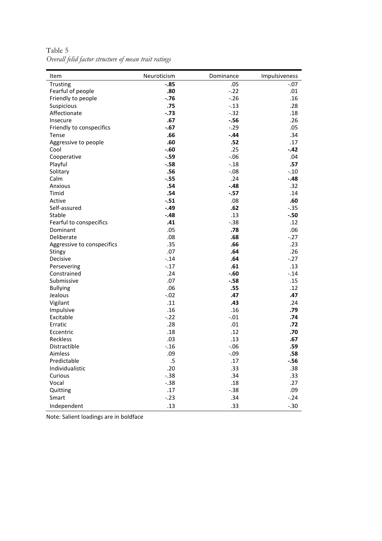Table 5 Overall felid factor structure of mean trait ratings

| Item                       | Neuroticism | Dominance | Impulsiveness |
|----------------------------|-------------|-----------|---------------|
| Trusting                   | $-.85$      | .05       | $-.07$        |
| Fearful of people          | .80         | $-.22$    | .01           |
| Friendly to people         | $-.76$      | $-26$     | .16           |
| Suspicious                 | .75         | $-.13$    | .28           |
| Affectionate               | $-.73$      | $-0.32$   | .18           |
| Insecure                   | .67         | $-.56$    | .26           |
| Friendly to conspecifics   | $-.67$      | $-0.29$   | .05           |
| Tense                      | .66         | $-.44$    | .34           |
| Aggressive to people       | .60         | .52       | .17           |
| Cool                       | $-.60$      | .25       | $-.42$        |
| Cooperative                | $-.59$      | $-0.06$   | .04           |
| Playful                    | $-.58$      | $-.18$    | .57           |
| Solitary                   | .56         | $-.08$    | $-.10$        |
| Calm                       | $-.55$      | .24       | $-.48$        |
| Anxious                    | .54         | $-.48$    | .32           |
| Timid                      | .54         | $-.57$    | .14           |
| Active                     | $-.51$      | .08       | .60           |
| Self-assured               | $-.49$      | .62       | $-.35$        |
| Stable                     | $-.48$      | .13       | $-.50$        |
| Fearful to conspecifics    | .41         | $-.38$    | .12           |
| Dominant                   | .05         | .78       | .06           |
| Deliberate                 | .08         | .68       | $-27$         |
| Aggressive to conspecifics | .35         | .66       | .23           |
| Stingy                     | .07         | .64       | .26           |
| Decisive                   | $-14$       | .64       | $-27$         |
| Persevering                | $-17$       | .61       | .13           |
| Constrained                | .24         | $-.60$    | $-.14$        |
| Submissive                 | .07         | $-.58$    | .15           |
| <b>Bullying</b>            | .06         | .55       | .12           |
| Jealous                    | $-.02$      | .47       | .47           |
| Vigilant                   | .11         | .43       | .24           |
| Impulsive                  | .16         | .16       | .79           |
| Excitable                  | $-22$       | $-.01$    | .74           |
| Erratic                    | .28         | .01       | .72           |
| Eccentric                  | .18         | .12       | .70           |
| Reckless                   | .03         | .13       | .67           |
| Distractible               | $-.16$      | $-0.06$   | .59           |
| Aimless                    | .09         | $-.09$    | .58           |
| Predictable                | $.5\,$      | .17       | $-.56$        |
| Individualistic            | .20         | .33       | .38           |
| Curious                    | $-.38$      | .34       | .33           |
| Vocal                      | $-.38$      | .18       | .27           |
| Quitting                   | .17         | $-0.38$   | .09           |
| Smart                      | $-.23$      | .34       | $-.24$        |
| Independent                | .13         | .33       | $-.30$        |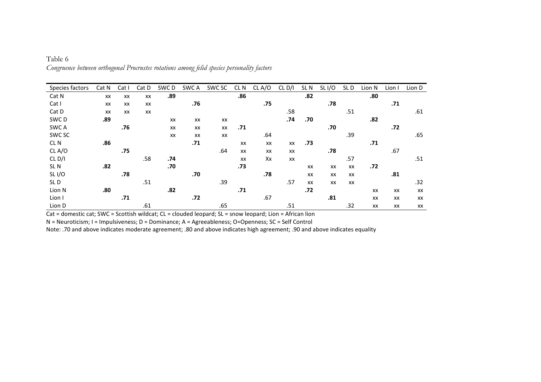| Species factors    | Cat N | Cat I     | Cat D | SWC D | SWC A | SWC SC | CL N | CL A/O | CL D/I | SL <sub>N</sub> | SL I/O | SLD | Lion N | Lion I | Lion D |
|--------------------|-------|-----------|-------|-------|-------|--------|------|--------|--------|-----------------|--------|-----|--------|--------|--------|
| Cat N              | XX    | XX        | XX    | .89   |       |        | .86  |        |        | .82             |        |     | .80    |        |        |
| Cat I              | XX    | XX        | XX    |       | .76   |        |      | .75    |        |                 | .78    |     |        | .71    |        |
| Cat D              | XX    | <b>XX</b> | XX    |       |       |        |      |        | .58    |                 |        | .51 |        |        | .61    |
| SWC D              | .89   |           |       | XX    | XX    | XX     |      |        | .74    | .70             |        |     | .82    |        |        |
| SWC A              |       | .76       |       | XX    | XX    | XX     | .71  |        |        |                 | .70    |     |        | .72    |        |
| SWC SC             |       |           |       | XX    | XX    | XX     |      | .64    |        |                 |        | .39 |        |        | .65    |
| CL <sub>N</sub>    | .86   |           |       |       | .71   |        | XX   | XX     | XX     | .73             |        |     | .71    |        |        |
| CL A/O             |       | .75       |       |       |       | .64    | XX   | XX     | XX     |                 | .78    |     |        | .67    |        |
| CL <sub>D</sub> /I |       |           | .58   | .74   |       |        | XX   | Xx     | XX     |                 |        | .57 |        |        | .51    |
| SL <sub>N</sub>    | .82   |           |       | .70   |       |        | .73  |        |        | XX              | XX     | XX  | .72    |        |        |
| SLI/O              |       | .78       |       |       | .70   |        |      | .78    |        | XX              | XX     | XX  |        | .81    |        |
| SLD                |       |           | .51   |       |       | .39    |      |        | .57    | XX              | XX     | XX  |        |        | .32    |
| Lion N             | .80   |           |       | .82   |       |        | .71  |        |        | .72             |        |     | XX     | XX     | XX     |
| Lion I             |       | .71       |       |       | .72   |        |      | .67    |        |                 | .81    |     | XX     | XX     | XX     |
| Lion D             |       |           | .61   |       |       | .65    |      |        | .51    |                 |        | .32 | XX     | XX     | XX     |

Table 6 Congruence between orthogonal Procrustes rotations among felid species personality factors

 $\overline{Cat}$  = domestic cat; SWC = Scottish wildcat;  $CL$  = clouded leopard;  $SL$  = snow leopard; Lion = African lion

N = Neuroticism; I = Impulsiveness; D = Dominance; A = Agreeableness; O=Openness; SC = Self Control

Note: .70 and above indicates moderate agreement; .80 and above indicates high agreement; .90 and above indicates equality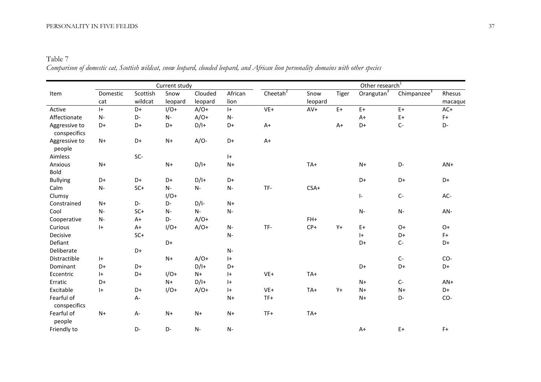## PERSONALITY IN FIVE FELIDS 37

Table 7 Comparison of domestic cat, Scottish wildcat, snow leopard, clouded leopard, and African lion personality domains with other species

|                               |                 |                     | Current study   |                    |                 |             | Other research <sup>1</sup> |       |                        |                         |                   |
|-------------------------------|-----------------|---------------------|-----------------|--------------------|-----------------|-------------|-----------------------------|-------|------------------------|-------------------------|-------------------|
| Item                          | Domestic<br>cat | Scottish<br>wildcat | Snow<br>leopard | Clouded<br>leopard | African<br>lion | Cheetah $2$ | Snow<br>leopard             | Tiger | Orangutan <sup>3</sup> | Chimpanzee <sup>3</sup> | Rhesus<br>macaque |
| Active                        | $ + $           | D+                  | $I/O+$          | $A/O+$             | $ +$            | $VE+$       | $AV+$                       | $E+$  | $E+$                   | $E+$                    | $AC+$             |
| Affectionate                  | $N-$            | D-                  | $N-$            | $A/O+$             | $N-$            |             |                             |       | $A+$                   | $E+$                    | $F+$              |
| Aggressive to<br>conspecifics | D+              | D+                  | D+              | $D/I+$             | D+              | $A+$        |                             | $A+$  | D+                     | $C-$                    | D-                |
| Aggressive to<br>people       | $N+$            | D+                  | $N+$            | $A/O-$             | D+              | $A+$        |                             |       |                        |                         |                   |
| Aimless                       |                 | SC-                 |                 |                    | $ + $           |             |                             |       |                        |                         |                   |
| Anxious                       | $N+$            |                     | $N+$            | $D/I+$             | $N+$            |             | TA+                         |       | $N+$                   | D-                      | $AN+$             |
| <b>Bold</b>                   |                 |                     |                 |                    |                 |             |                             |       |                        |                         |                   |
| <b>Bullying</b>               | D+              | D+                  | D+              | $D/I+$             | D+              |             |                             |       | D+                     | D+                      | D+                |
| Calm                          | $N-$            | $SC+$               | $N-$            | $N-$               | $N-$            | TF-         | $CSA+$                      |       |                        |                         |                   |
| Clumsy                        |                 |                     | $I/O+$          |                    |                 |             |                             |       | $\vert$ -              | $C-$                    | AC-               |
| Constrained                   | $N+$            | D-                  | $D -$           | $D/I$ -            | $N+$            |             |                             |       |                        |                         |                   |
| Cool                          | $N-$            | $SC+$               | $N-$            | $N-$               | $N-$            |             |                             |       | $N-$                   | $N-$                    | AN-               |
| Cooperative                   | $N-$            | $A+$                | D-              | $A/O+$             |                 |             | $FH+$                       |       |                        |                         |                   |
| Curious                       | $ +$            | $A+$                | $1/O+$          | $A/O+$             | $N-$            | TF-         | $CP+$                       | $Y +$ | $E+$                   | $O+$                    | $O+$              |
| Decisive                      |                 | $SC+$               |                 |                    | $N-$            |             |                             |       | $ +$                   | D+                      | $F+$              |
| Defiant                       |                 |                     | D+              |                    |                 |             |                             |       | D+                     | $C-$                    | D+                |
| Deliberate                    |                 | D+                  |                 |                    | $N-$            |             |                             |       |                        |                         |                   |
| Distractible                  | $ + $           |                     | $N+$            | $A/O+$             | $ + $           |             |                             |       |                        | $C-$                    | CO-               |
| Dominant                      | D+              | D+                  |                 | $D/I+$             | D+              |             |                             |       | D+                     | D+                      | D+                |
| Eccentric                     | $ + $           | D+                  | $I/O+$          | $N+$               | $ +$            | $VE+$       | TA+                         |       |                        |                         |                   |
| Erratic                       | $D+$            |                     | $N+$            | $D/I+$             | $ +$            |             |                             |       | $N+$                   | $C-$                    | $AN+$             |
| Excitable                     | $ + $           | D+                  | $I/O+$          | $A/O+$             | $ + $           | $VE+$       | TA+                         | $Y +$ | $N+$                   | $N+$                    | D+                |
| Fearful of<br>conspecifics    |                 | A-                  |                 |                    | $N+$            | $TF+$       |                             |       | $N+$                   | $D -$                   | CO-               |
| Fearful of<br>people          | $N+$            | $A -$               | $N+$            | $N+$               | $N+$            | $TF+$       | TA+                         |       |                        |                         |                   |
| Friendly to                   |                 | D-                  | $D -$           | N-                 | N-              |             |                             |       | $A+$                   | $E+$                    | $F+$              |